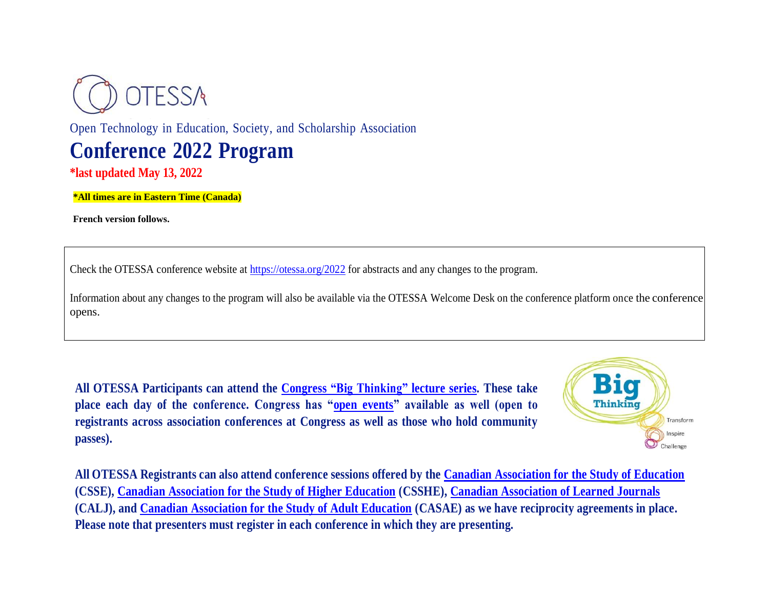

Open Technology in Education, Society, and Scholarship Association **Conference 2022 Program**

**\*last updated May 13, 2022**

**\*All times are in Eastern Time (Canada)**

**French version follows.**

Check the OTESSA conference website at<https://otessa.org/2022> for abstracts and any changes to the program.

Information about any changes to the program will also be available via the OTESSA Welcome Desk on the conference platform once the conference opens.

**All OTESSA Participants can attend the Congress "Big [Thinking"](https://www.federationhss.ca/en/congress/congress-2022/open-programming) lecture series. These take place each day of the conference. Congress has ["open events"](https://www.federationhss.ca/en/congress/congress-2022/calendar-open-events) available as well (open to registrants across association conferences at Congress as well as those who hold community passes).**



**All OTESSA Registrants can also attend conference sessions offered by the [Canadian Association for the Study of Education](https://csse-scee.ca/) (CSSE), Canadian Association [for the Study of Higher Education](https://csshe-scees.ca/) (CSSHE), [Canadian Association of Learned Journals](https://www.calj-acrs.ca/) (CALJ), and [Canadian Association for the Study of Adult Education](https://www.casae-aceea.ca/) (CASAE) as we have reciprocity agreements in place. Please note that presenters must register in each conference in which they are presenting.**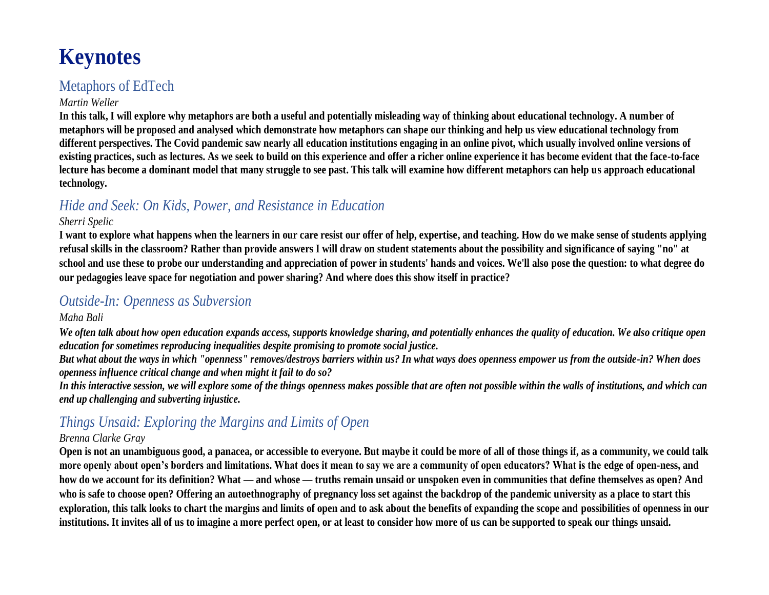# **Keynotes**

## Metaphors of EdTech

### *Martin Weller*

**In this talk, I will explore why metaphors are both a useful and potentially misleading way of thinking about educational technology. A number of metaphors will be proposed and analysed which demonstrate how metaphors can shape our thinking and help us view educational technology from different perspectives. The Covid pandemic saw nearly all education institutions engaging in an online pivot, which usually involved online versions of existing practices, such as lectures. As we seek to build on this experience and offer a richer online experience it has become evident that the face-to-face lecture has become a dominant model that many struggle to see past. This talk will examine how different metaphors can help us approach educational technology.**

## *Hide and Seek: On Kids, Power, and Resistance in Education*

### *Sherri Spelic*

**I want to explore what happens when the learners in our care resist our offer of help, expertise, and teaching. How do we make sense of students applying refusal skills in the classroom? Rather than provide answers I will draw on student statements about the possibility and significance of saying "no" at school and use these to probe our understanding and appreciation of power in students' hands and voices. We'll also pose the question: to what degree do our pedagogies leave space for negotiation and power sharing? And where does this show itself in practice?**

### *Outside-In: Openness as Subversion*

### *Maha Bali*

*We often talk about how open education expands access, supports knowledge sharing, and potentially enhances the quality of education. We also critique open education for sometimes reproducing inequalities despite promising to promote social justice.*

*But what about the ways in which "openness" removes/destroys barriers within us? In what ways does openness empower us from the outside-in? When does openness influence critical change and when might it fail to do so?*

*In this interactive session, we will explore some of the things openness makes possible that are often not possible within the walls of institutions, and which can end up challenging and subverting injustice.* 

## *Things Unsaid: Exploring the Margins and Limits of Open*

### *Brenna Clarke Gray*

**Open is not an unambiguous good, a panacea, or accessible to everyone. But maybe it could be more of all of those things if, as a community, we could talk more openly about open's borders and limitations. What does it mean to say we are a community of open educators? What is the edge of open-ness, and how do we account for its definition? What — and whose — truths remain unsaid or unspoken even in communities that define themselves as open? And who is safe to choose open? Offering an autoethnography of pregnancy loss set against the backdrop of the pandemic university as a place to start this exploration, this talk looks to chart the margins and limits of open and to ask about the benefits of expanding the scope and possibilities of openness in our institutions. It invites all of us to imagine a more perfect open, or at least to consider how more of us can be supported to speak our things unsaid.**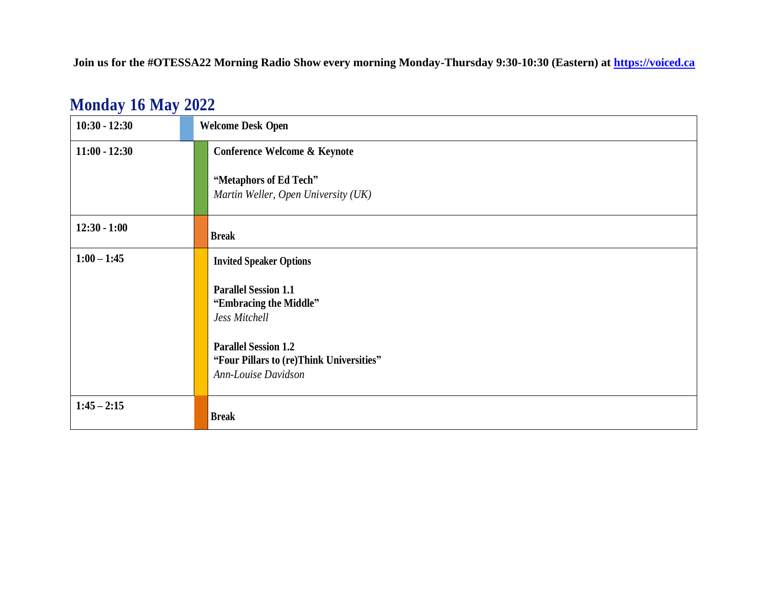**Join us for the #OTESSA22 Morning Radio Show every morning Monday-Thursday 9:30-10:30 (Eastern) at [https://voiced.ca](https://voiced.ca/)**

| $10:30 - 12:30$ | <b>Welcome Desk Open</b>                                                                       |
|-----------------|------------------------------------------------------------------------------------------------|
| $11:00 - 12:30$ | <b>Conference Welcome &amp; Keynote</b>                                                        |
|                 | "Metaphors of Ed Tech"<br>Martin Weller, Open University (UK)                                  |
| $12:30 - 1:00$  | <b>Break</b>                                                                                   |
| $1:00 - 1:45$   | <b>Invited Speaker Options</b>                                                                 |
|                 | <b>Parallel Session 1.1</b><br>"Embracing the Middle"<br>Jess Mitchell                         |
|                 | <b>Parallel Session 1.2</b><br>"Four Pillars to (re)Think Universities"<br>Ann-Louise Davidson |
| $1:45 - 2:15$   | <b>Break</b>                                                                                   |

## **Monday 16 May 2022**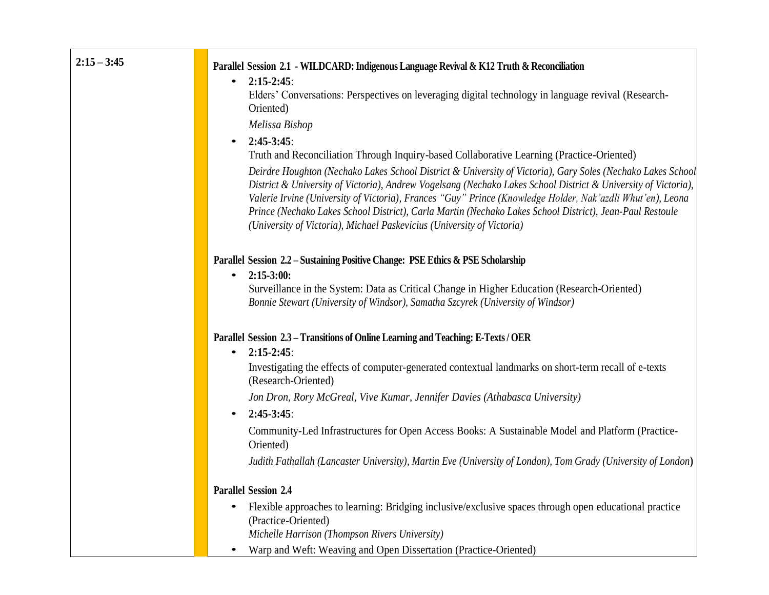| $2:15 - 3:45$ |                                                                                                                                                                                                                                                                                                                                                                                                                                                                                                                                   |
|---------------|-----------------------------------------------------------------------------------------------------------------------------------------------------------------------------------------------------------------------------------------------------------------------------------------------------------------------------------------------------------------------------------------------------------------------------------------------------------------------------------------------------------------------------------|
|               | Parallel Session 2.1 - WILDCARD: Indigenous Language Revival & K12 Truth & Reconciliation<br>$2:15-2:45$ :<br>$\bullet$                                                                                                                                                                                                                                                                                                                                                                                                           |
|               | Elders' Conversations: Perspectives on leveraging digital technology in language revival (Research-                                                                                                                                                                                                                                                                                                                                                                                                                               |
|               | Oriented)                                                                                                                                                                                                                                                                                                                                                                                                                                                                                                                         |
|               | Melissa Bishop                                                                                                                                                                                                                                                                                                                                                                                                                                                                                                                    |
|               | $2:45-3:45:$<br>$\bullet$                                                                                                                                                                                                                                                                                                                                                                                                                                                                                                         |
|               | Truth and Reconciliation Through Inquiry-based Collaborative Learning (Practice-Oriented)                                                                                                                                                                                                                                                                                                                                                                                                                                         |
|               | Deirdre Houghton (Nechako Lakes School District & University of Victoria), Gary Soles (Nechako Lakes School<br>District & University of Victoria), Andrew Vogelsang (Nechako Lakes School District & University of Victoria),<br>Valerie Irvine (University of Victoria), Frances "Guy" Prince (Knowledge Holder, Nak'azdli Whut'en), Leona<br>Prince (Nechako Lakes School District), Carla Martin (Nechako Lakes School District), Jean-Paul Restoule<br>(University of Victoria), Michael Paskevicius (University of Victoria) |
|               | Parallel Session 2.2 - Sustaining Positive Change: PSE Ethics & PSE Scholarship                                                                                                                                                                                                                                                                                                                                                                                                                                                   |
|               | $2:15-3:00:$<br>$\bullet$                                                                                                                                                                                                                                                                                                                                                                                                                                                                                                         |
|               | Surveillance in the System: Data as Critical Change in Higher Education (Research-Oriented)                                                                                                                                                                                                                                                                                                                                                                                                                                       |
|               | Bonnie Stewart (University of Windsor), Samatha Szcyrek (University of Windsor)                                                                                                                                                                                                                                                                                                                                                                                                                                                   |
|               | Parallel Session 2.3 - Transitions of Online Learning and Teaching: E-Texts / OER<br>$2:15-2:45$ :<br>$\bullet$                                                                                                                                                                                                                                                                                                                                                                                                                   |
|               | Investigating the effects of computer-generated contextual landmarks on short-term recall of e-texts<br>(Research-Oriented)                                                                                                                                                                                                                                                                                                                                                                                                       |
|               | Jon Dron, Rory McGreal, Vive Kumar, Jennifer Davies (Athabasca University)                                                                                                                                                                                                                                                                                                                                                                                                                                                        |
|               | $2:45-3:45:$<br>$\bullet$                                                                                                                                                                                                                                                                                                                                                                                                                                                                                                         |
|               | Community-Led Infrastructures for Open Access Books: A Sustainable Model and Platform (Practice-<br>Oriented)                                                                                                                                                                                                                                                                                                                                                                                                                     |
|               | Judith Fathallah (Lancaster University), Martin Eve (University of London), Tom Grady (University of London)                                                                                                                                                                                                                                                                                                                                                                                                                      |
|               | <b>Parallel Session 2.4</b>                                                                                                                                                                                                                                                                                                                                                                                                                                                                                                       |
|               | Flexible approaches to learning: Bridging inclusive/exclusive spaces through open educational practice<br>$\bullet$<br>(Practice-Oriented)                                                                                                                                                                                                                                                                                                                                                                                        |
|               | Michelle Harrison (Thompson Rivers University)                                                                                                                                                                                                                                                                                                                                                                                                                                                                                    |
|               | Warp and Weft: Weaving and Open Dissertation (Practice-Oriented)                                                                                                                                                                                                                                                                                                                                                                                                                                                                  |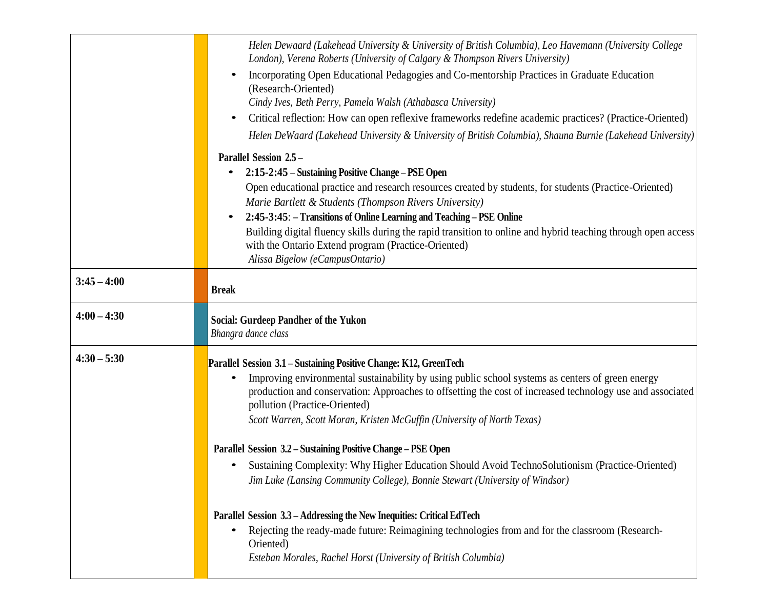|               | Helen Dewaard (Lakehead University & University of British Columbia), Leo Havemann (University College<br>London), Verena Roberts (University of Calgary & Thompson Rivers University) |
|---------------|----------------------------------------------------------------------------------------------------------------------------------------------------------------------------------------|
|               | Incorporating Open Educational Pedagogies and Co-mentorship Practices in Graduate Education<br>(Research-Oriented)                                                                     |
|               | Cindy Ives, Beth Perry, Pamela Walsh (Athabasca University)                                                                                                                            |
|               | Critical reflection: How can open reflexive frameworks redefine academic practices? (Practice-Oriented)                                                                                |
|               | Helen DeWaard (Lakehead University & University of British Columbia), Shauna Burnie (Lakehead University)                                                                              |
|               | Parallel Session 2.5 -                                                                                                                                                                 |
|               | 2:15-2:45 - Sustaining Positive Change - PSE Open<br>$\bullet$                                                                                                                         |
|               | Open educational practice and research resources created by students, for students (Practice-Oriented)                                                                                 |
|               | Marie Bartlett & Students (Thompson Rivers University)                                                                                                                                 |
|               | 2:45-3:45: – Transitions of Online Learning and Teaching – PSE Online                                                                                                                  |
|               | Building digital fluency skills during the rapid transition to online and hybrid teaching through open access<br>with the Ontario Extend program (Practice-Oriented)                   |
|               | Alissa Bigelow (eCampusOntario)                                                                                                                                                        |
|               |                                                                                                                                                                                        |
| $3:45 - 4:00$ | <b>Break</b>                                                                                                                                                                           |
| $4:00 - 4:30$ | <b>Social: Gurdeep Pandher of the Yukon</b><br>Bhangra dance class                                                                                                                     |
| $4:30 - 5:30$ | Parallel Session 3.1 – Sustaining Positive Change: K12, GreenTech                                                                                                                      |
|               | Improving environmental sustainability by using public school systems as centers of green energy                                                                                       |
|               | production and conservation: Approaches to offsetting the cost of increased technology use and associated                                                                              |
|               | pollution (Practice-Oriented)                                                                                                                                                          |
|               | Scott Warren, Scott Moran, Kristen McGuffin (University of North Texas)                                                                                                                |
|               | Parallel Session 3.2 - Sustaining Positive Change - PSE Open                                                                                                                           |
|               |                                                                                                                                                                                        |
|               | Sustaining Complexity: Why Higher Education Should Avoid TechnoSolutionism (Practice-Oriented)                                                                                         |
|               | Jim Luke (Lansing Community College), Bonnie Stewart (University of Windsor)                                                                                                           |
|               |                                                                                                                                                                                        |
|               | Parallel Session 3.3 – Addressing the New Inequities: Critical EdTech                                                                                                                  |
|               | Rejecting the ready-made future: Reimagining technologies from and for the classroom (Research-<br>$\bullet$<br>Oriented)                                                              |
|               | Esteban Morales, Rachel Horst (University of British Columbia)                                                                                                                         |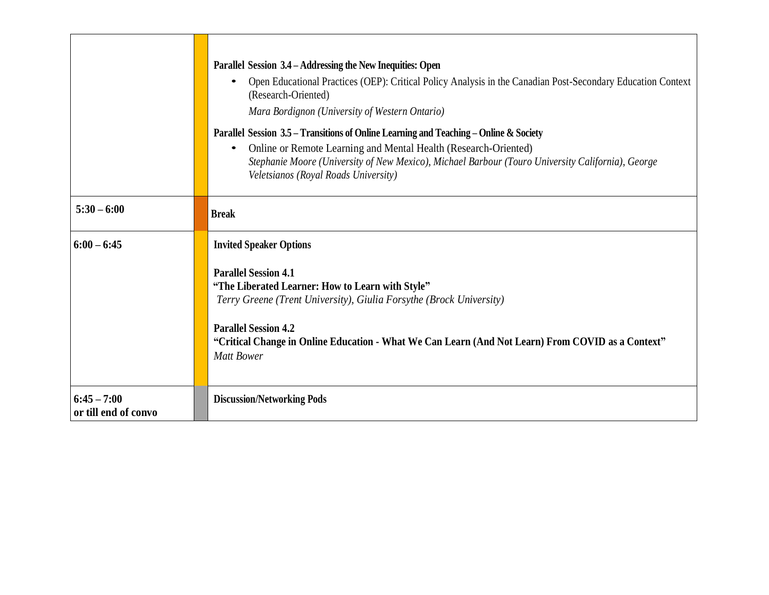|                                       | Parallel Session 3.4 – Addressing the New Inequities: Open<br>Open Educational Practices (OEP): Critical Policy Analysis in the Canadian Post-Secondary Education Context<br>$\bullet$<br>(Research-Oriented)<br>Mara Bordignon (University of Western Ontario)<br>Parallel Session 3.5 – Transitions of Online Learning and Teaching – Online & Society<br>Online or Remote Learning and Mental Health (Research-Oriented)<br>$\bullet$<br>Stephanie Moore (University of New Mexico), Michael Barbour (Touro University California), George<br>Veletsianos (Royal Roads University) |
|---------------------------------------|---------------------------------------------------------------------------------------------------------------------------------------------------------------------------------------------------------------------------------------------------------------------------------------------------------------------------------------------------------------------------------------------------------------------------------------------------------------------------------------------------------------------------------------------------------------------------------------|
| $5:30 - 6:00$                         | <b>Break</b>                                                                                                                                                                                                                                                                                                                                                                                                                                                                                                                                                                          |
| $6:00 - 6:45$                         | <b>Invited Speaker Options</b>                                                                                                                                                                                                                                                                                                                                                                                                                                                                                                                                                        |
|                                       | <b>Parallel Session 4.1</b><br>"The Liberated Learner: How to Learn with Style"<br>Terry Greene (Trent University), Giulia Forsythe (Brock University)<br><b>Parallel Session 4.2</b><br>"Critical Change in Online Education - What We Can Learn (And Not Learn) From COVID as a Context"<br><b>Matt Bower</b>                                                                                                                                                                                                                                                                       |
| $6:45 - 7:00$<br>or till end of convo | <b>Discussion/Networking Pods</b>                                                                                                                                                                                                                                                                                                                                                                                                                                                                                                                                                     |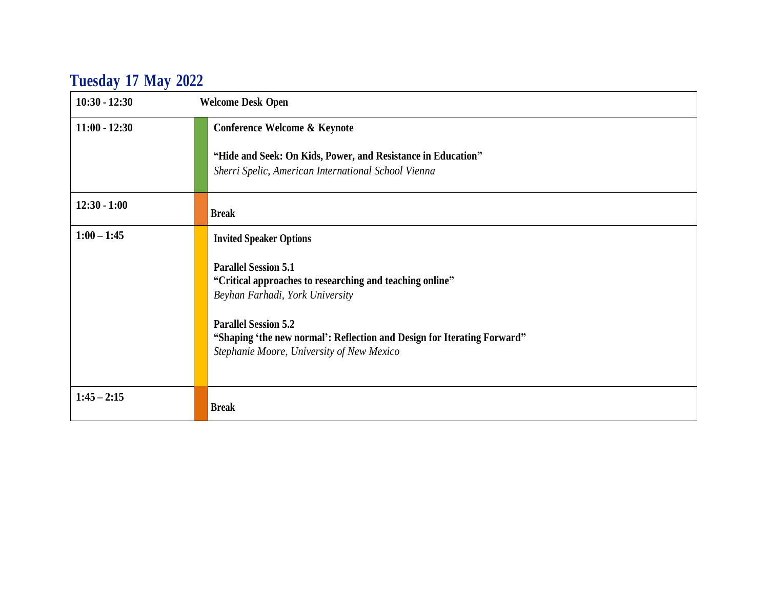# **Tuesday 17 May 2022**

| $10:30 - 12:30$ | <b>Welcome Desk Open</b>                                                                                                                                                                                                                                                          |
|-----------------|-----------------------------------------------------------------------------------------------------------------------------------------------------------------------------------------------------------------------------------------------------------------------------------|
| $11:00 - 12:30$ | Conference Welcome & Keynote                                                                                                                                                                                                                                                      |
|                 | "Hide and Seek: On Kids, Power, and Resistance in Education"<br>Sherri Spelic, American International School Vienna                                                                                                                                                               |
| $12:30 - 1:00$  | <b>Break</b>                                                                                                                                                                                                                                                                      |
| $1:00 - 1:45$   | <b>Invited Speaker Options</b>                                                                                                                                                                                                                                                    |
|                 | <b>Parallel Session 5.1</b><br>"Critical approaches to researching and teaching online"<br>Beyhan Farhadi, York University<br><b>Parallel Session 5.2</b><br>"Shaping 'the new normal': Reflection and Design for Iterating Forward"<br>Stephanie Moore, University of New Mexico |
| $1:45 - 2:15$   | <b>Break</b>                                                                                                                                                                                                                                                                      |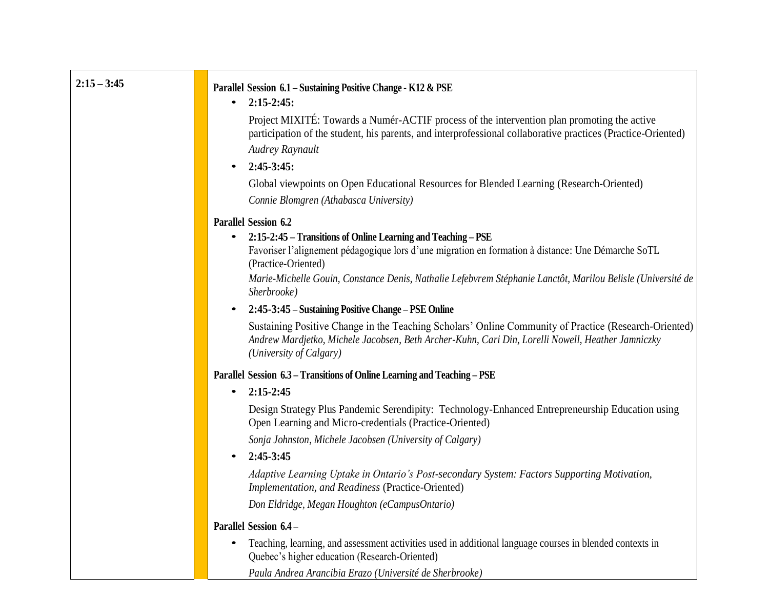| $2:15 - 3:45$ | Parallel Session 6.1 - Sustaining Positive Change - K12 & PSE<br>$2:15-2:45:$<br>$\bullet$                                                                                                                                            |
|---------------|---------------------------------------------------------------------------------------------------------------------------------------------------------------------------------------------------------------------------------------|
|               | Project MIXITÉ: Towards a Numér-ACTIF process of the intervention plan promoting the active<br>participation of the student, his parents, and interprofessional collaborative practices (Practice-Oriented)<br>Audrey Raynault        |
|               | $2:45-3:45:$<br>$\bullet$                                                                                                                                                                                                             |
|               | Global viewpoints on Open Educational Resources for Blended Learning (Research-Oriented)<br>Connie Blomgren (Athabasca University)                                                                                                    |
|               | <b>Parallel Session 6.2</b>                                                                                                                                                                                                           |
|               | 2:15-2:45 – Transitions of Online Learning and Teaching – PSE                                                                                                                                                                         |
|               | Favoriser l'alignement pédagogique lors d'une migration en formation à distance: Une Démarche SoTL<br>(Practice-Oriented)                                                                                                             |
|               | Marie-Michelle Gouin, Constance Denis, Nathalie Lefebvrem Stéphanie Lanctôt, Marilou Belisle (Université de<br>Sherbrooke)                                                                                                            |
|               | 2:45-3:45 – Sustaining Positive Change – PSE Online<br>$\bullet$                                                                                                                                                                      |
|               | Sustaining Positive Change in the Teaching Scholars' Online Community of Practice (Research-Oriented)<br>Andrew Mardjetko, Michele Jacobsen, Beth Archer-Kuhn, Cari Din, Lorelli Nowell, Heather Jamniczky<br>(University of Calgary) |
|               | Parallel Session 6.3 - Transitions of Online Learning and Teaching - PSE                                                                                                                                                              |
|               | $2:15 - 2:45$<br>$\bullet$                                                                                                                                                                                                            |
|               | Design Strategy Plus Pandemic Serendipity: Technology-Enhanced Entrepreneurship Education using<br>Open Learning and Micro-credentials (Practice-Oriented)                                                                            |
|               | Sonja Johnston, Michele Jacobsen (University of Calgary)                                                                                                                                                                              |
|               | 2:45-3:45<br>$\bullet$                                                                                                                                                                                                                |
|               | Adaptive Learning Uptake in Ontario's Post-secondary System: Factors Supporting Motivation,<br>Implementation, and Readiness (Practice-Oriented)                                                                                      |
|               | Don Eldridge, Megan Houghton (eCampusOntario)                                                                                                                                                                                         |
|               | Parallel Session 6.4 -                                                                                                                                                                                                                |
|               | Teaching, learning, and assessment activities used in additional language courses in blended contexts in<br>$\bullet$<br>Quebec's higher education (Research-Oriented)                                                                |

*Paula Andrea Arancibia Erazo (Université de Sherbrooke)*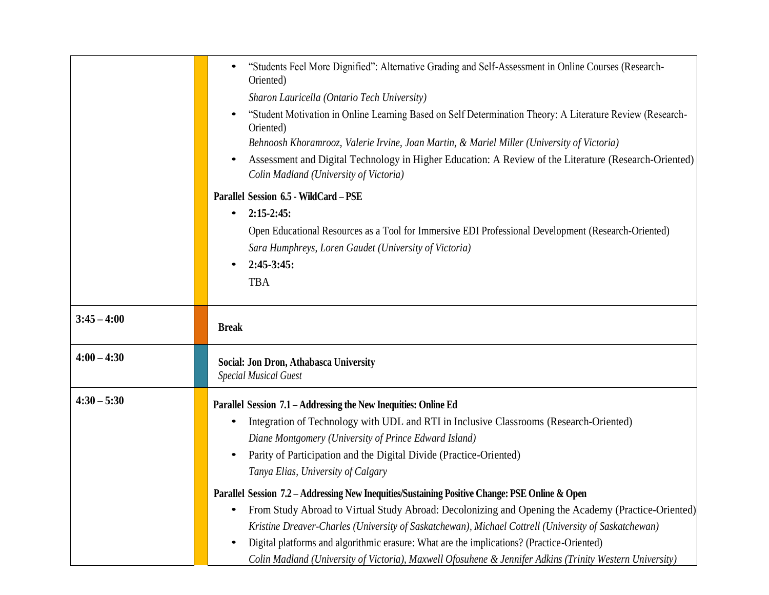|               | "Students Feel More Dignified": Alternative Grading and Self-Assessment in Online Courses (Research-<br>Oriented)                                                                                                    |
|---------------|----------------------------------------------------------------------------------------------------------------------------------------------------------------------------------------------------------------------|
|               | Sharon Lauricella (Ontario Tech University)                                                                                                                                                                          |
|               | "Student Motivation in Online Learning Based on Self Determination Theory: A Literature Review (Research-<br>Oriented)<br>Behnoosh Khoramrooz, Valerie Irvine, Joan Martin, & Mariel Miller (University of Victoria) |
|               | Assessment and Digital Technology in Higher Education: A Review of the Literature (Research-Oriented)<br>Colin Madland (University of Victoria)                                                                      |
|               | Parallel Session 6.5 - WildCard - PSE                                                                                                                                                                                |
|               | $2:15-2:45:$<br>$\bullet$                                                                                                                                                                                            |
|               | Open Educational Resources as a Tool for Immersive EDI Professional Development (Research-Oriented)                                                                                                                  |
|               | Sara Humphreys, Loren Gaudet (University of Victoria)                                                                                                                                                                |
|               | $2:45-3:45:$                                                                                                                                                                                                         |
|               | <b>TBA</b>                                                                                                                                                                                                           |
|               |                                                                                                                                                                                                                      |
| $3:45 - 4:00$ | <b>Break</b>                                                                                                                                                                                                         |
| $4:00 - 4:30$ | Social: Jon Dron, Athabasca University<br><b>Special Musical Guest</b>                                                                                                                                               |
| $4:30 - 5:30$ | Parallel Session 7.1 – Addressing the New Inequities: Online Ed                                                                                                                                                      |
|               | Integration of Technology with UDL and RTI in Inclusive Classrooms (Research-Oriented)                                                                                                                               |
|               | Diane Montgomery (University of Prince Edward Island)                                                                                                                                                                |
|               | Parity of Participation and the Digital Divide (Practice-Oriented)                                                                                                                                                   |
|               | Tanya Elias, University of Calgary                                                                                                                                                                                   |
|               | Parallel Session 7.2 - Addressing New Inequities/Sustaining Positive Change: PSE Online & Open                                                                                                                       |
|               | From Study Abroad to Virtual Study Abroad: Decolonizing and Opening the Academy (Practice-Oriented)<br>٠                                                                                                             |
|               | Kristine Dreaver-Charles (University of Saskatchewan), Michael Cottrell (University of Saskatchewan)                                                                                                                 |
|               | Digital platforms and algorithmic erasure: What are the implications? (Practice-Oriented)<br>$\bullet$                                                                                                               |
|               | Colin Madland (University of Victoria), Maxwell Ofosuhene & Jennifer Adkins (Trinity Western University)                                                                                                             |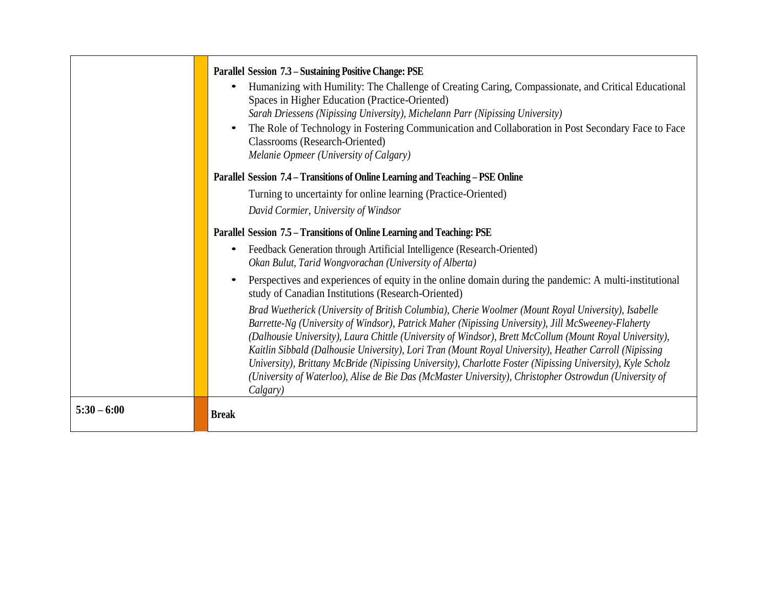|               | Parallel Session 7.3 – Sustaining Positive Change: PSE<br>Humanizing with Humility: The Challenge of Creating Caring, Compassionate, and Critical Educational<br>Spaces in Higher Education (Practice-Oriented)<br>Sarah Driessens (Nipissing University), Michelann Parr (Nipissing University)<br>The Role of Technology in Fostering Communication and Collaboration in Post Secondary Face to Face<br><b>Classrooms</b> (Research-Oriented)<br>Melanie Opmeer (University of Calgary)                                                                                                                                                                          |
|---------------|--------------------------------------------------------------------------------------------------------------------------------------------------------------------------------------------------------------------------------------------------------------------------------------------------------------------------------------------------------------------------------------------------------------------------------------------------------------------------------------------------------------------------------------------------------------------------------------------------------------------------------------------------------------------|
|               | Parallel Session 7.4 – Transitions of Online Learning and Teaching – PSE Online                                                                                                                                                                                                                                                                                                                                                                                                                                                                                                                                                                                    |
|               | Turning to uncertainty for online learning (Practice-Oriented)                                                                                                                                                                                                                                                                                                                                                                                                                                                                                                                                                                                                     |
|               | David Cormier, University of Windsor                                                                                                                                                                                                                                                                                                                                                                                                                                                                                                                                                                                                                               |
|               | Parallel Session 7.5 – Transitions of Online Learning and Teaching: PSE                                                                                                                                                                                                                                                                                                                                                                                                                                                                                                                                                                                            |
|               | Feedback Generation through Artificial Intelligence (Research-Oriented)<br>$\bullet$<br>Okan Bulut, Tarid Wongvorachan (University of Alberta)                                                                                                                                                                                                                                                                                                                                                                                                                                                                                                                     |
|               | Perspectives and experiences of equity in the online domain during the pandemic: A multi-institutional<br>$\bullet$<br>study of Canadian Institutions (Research-Oriented)                                                                                                                                                                                                                                                                                                                                                                                                                                                                                          |
|               | Brad Wuetherick (University of British Columbia), Cherie Woolmer (Mount Royal University), Isabelle<br>Barrette-Ng (University of Windsor), Patrick Maher (Nipissing University), Jill McSweeney-Flaherty<br>(Dalhousie University), Laura Chittle (University of Windsor), Brett McCollum (Mount Royal University),<br>Kaitlin Sibbald (Dalhousie University), Lori Tran (Mount Royal University), Heather Carroll (Nipissing<br>University), Brittany McBride (Nipissing University), Charlotte Foster (Nipissing University), Kyle Scholz<br>(University of Waterloo), Alise de Bie Das (McMaster University), Christopher Ostrowdun (University of<br>Calgary) |
| $5:30 - 6:00$ | <b>Break</b>                                                                                                                                                                                                                                                                                                                                                                                                                                                                                                                                                                                                                                                       |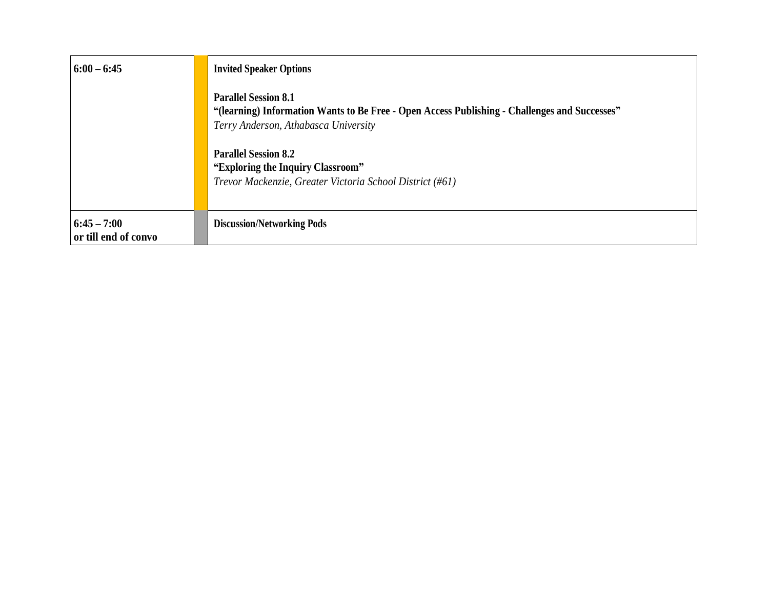| $6:00 - 6:45$                         | <b>Invited Speaker Options</b>                                                                                                                                       |
|---------------------------------------|----------------------------------------------------------------------------------------------------------------------------------------------------------------------|
|                                       | <b>Parallel Session 8.1</b><br>"(learning) Information Wants to Be Free - Open Access Publishing - Challenges and Successes"<br>Terry Anderson, Athabasca University |
|                                       | <b>Parallel Session 8.2</b><br>"Exploring the Inquiry Classroom"<br>Trevor Mackenzie, Greater Victoria School District (#61)                                         |
| $6:45 - 7:00$<br>or till end of convo | <b>Discussion/Networking Pods</b>                                                                                                                                    |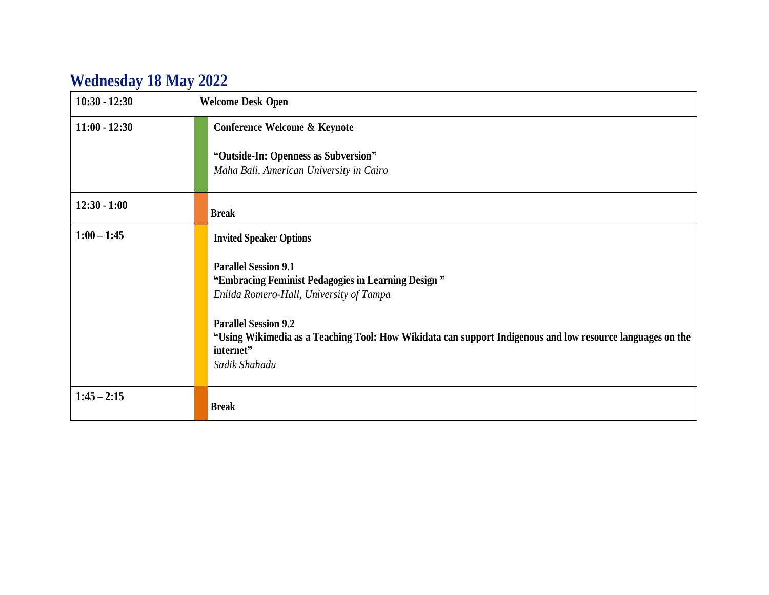# **Wednesday 18 May 2022**

| $10:30 - 12:30$ | <b>Welcome Desk Open</b>                                                                                                                                                                                                                                                                                |
|-----------------|---------------------------------------------------------------------------------------------------------------------------------------------------------------------------------------------------------------------------------------------------------------------------------------------------------|
| $11:00 - 12:30$ | Conference Welcome & Keynote                                                                                                                                                                                                                                                                            |
|                 | "Outside-In: Openness as Subversion"<br>Maha Bali, American University in Cairo                                                                                                                                                                                                                         |
| $12:30 - 1:00$  | <b>Break</b>                                                                                                                                                                                                                                                                                            |
| $1:00 - 1:45$   | <b>Invited Speaker Options</b>                                                                                                                                                                                                                                                                          |
|                 | <b>Parallel Session 9.1</b><br>"Embracing Feminist Pedagogies in Learning Design"<br>Enilda Romero-Hall, University of Tampa<br><b>Parallel Session 9.2</b><br>"Using Wikimedia as a Teaching Tool: How Wikidata can support Indigenous and low resource languages on the<br>internet"<br>Sadik Shahadu |
| $1:45 - 2:15$   | <b>Break</b>                                                                                                                                                                                                                                                                                            |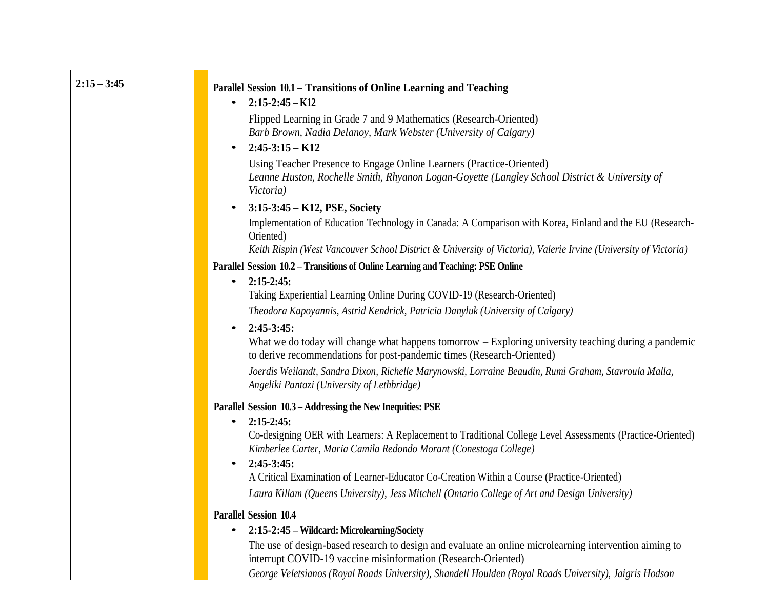| $2:15 - 3:45$ | Parallel Session 10.1 – Transitions of Online Learning and Teaching                                                                                                           |
|---------------|-------------------------------------------------------------------------------------------------------------------------------------------------------------------------------|
|               | $2:15-2:45-K12$<br>$\bullet$                                                                                                                                                  |
|               | Flipped Learning in Grade 7 and 9 Mathematics (Research-Oriented)                                                                                                             |
|               | Barb Brown, Nadia Delanoy, Mark Webster (University of Calgary)                                                                                                               |
|               | $2:45-3:15-K12$<br>$\bullet$                                                                                                                                                  |
|               | Using Teacher Presence to Engage Online Learners (Practice-Oriented)                                                                                                          |
|               | Leanne Huston, Rochelle Smith, Rhyanon Logan-Goyette (Langley School District & University of<br>Victoria)                                                                    |
|               | $3:15-3:45 - K12$ , PSE, Society<br>$\bullet$                                                                                                                                 |
|               | Implementation of Education Technology in Canada: A Comparison with Korea, Finland and the EU (Research-<br>Oriented)                                                         |
|               | Keith Rispin (West Vancouver School District & University of Victoria), Valerie Irvine (University of Victoria)                                                               |
|               | Parallel Session 10.2 - Transitions of Online Learning and Teaching: PSE Online                                                                                               |
|               | $2:15-2:45:$<br>$\bullet$                                                                                                                                                     |
|               | Taking Experiential Learning Online During COVID-19 (Research-Oriented)                                                                                                       |
|               | Theodora Kapoyannis, Astrid Kendrick, Patricia Danyluk (University of Calgary)                                                                                                |
|               | $2:45-3:45:$<br>$\bullet$                                                                                                                                                     |
|               | What we do today will change what happens tomorrow – Exploring university teaching during a pandemic<br>to derive recommendations for post-pandemic times (Research-Oriented) |
|               | Joerdis Weilandt, Sandra Dixon, Richelle Marynowski, Lorraine Beaudin, Rumi Graham, Stavroula Malla,<br>Angeliki Pantazi (University of Lethbridge)                           |
|               | Parallel Session 10.3 – Addressing the New Inequities: PSE                                                                                                                    |
|               | $2:15-2:45:$<br>$\bullet$                                                                                                                                                     |
|               | Co-designing OER with Learners: A Replacement to Traditional College Level Assessments (Practice-Oriented)                                                                    |
|               | Kimberlee Carter, Maria Camila Redondo Morant (Conestoga College)                                                                                                             |
|               | $2:45-3:45:$<br>$\bullet$<br>A Critical Examination of Learner-Educator Co-Creation Within a Course (Practice-Oriented)                                                       |
|               |                                                                                                                                                                               |
|               | Laura Killam (Queens University), Jess Mitchell (Ontario College of Art and Design University)                                                                                |
|               | <b>Parallel Session 10.4</b>                                                                                                                                                  |
|               | 2:15-2:45 - Wildcard: Microlearning/Society                                                                                                                                   |
|               | The use of design-based research to design and evaluate an online microlearning intervention aiming to<br>interrupt COVID-19 vaccine misinformation (Research-Oriented)       |
|               | George Veletsianos (Royal Roads University), Shandell Houlden (Royal Roads University), Jaioris Hodson                                                                        |

 $\sim$ 

*George Veletsianos (Royal Roads University), Shandell Houlden (Royal Roads University), Jaigris Hodson*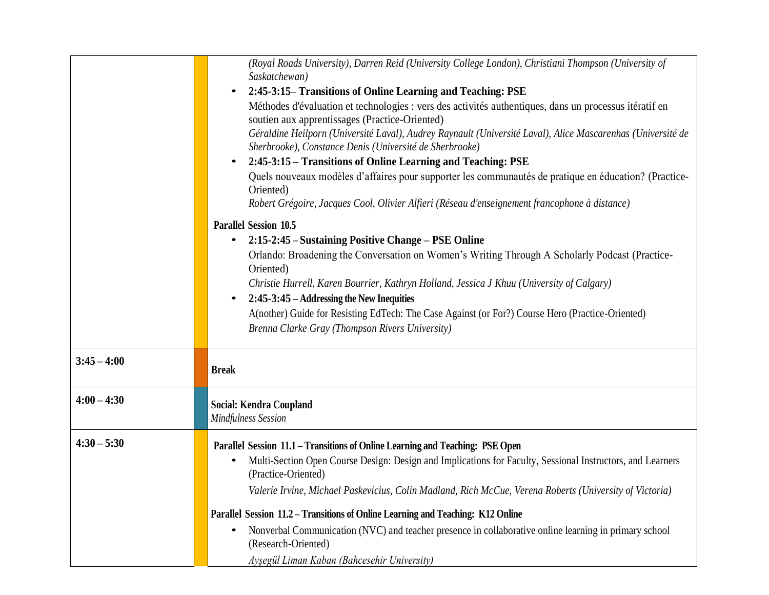|               | (Royal Roads University), Darren Reid (University College London), Christiani Thompson (University of<br>Saskatchewan)                                                 |
|---------------|------------------------------------------------------------------------------------------------------------------------------------------------------------------------|
|               | 2:45-3:15– Transitions of Online Learning and Teaching: PSE                                                                                                            |
|               | Méthodes d'évaluation et technologies : vers des activités authentiques, dans un processus itératif en<br>soutien aux apprentissages (Practice-Oriented)               |
|               | Géraldine Heilporn (Université Laval), Audrey Raynault (Université Laval), Alice Mascarenhas (Université de<br>Sherbrooke), Constance Denis (Université de Sherbrooke) |
|               | 2:45-3:15 – Transitions of Online Learning and Teaching: PSE                                                                                                           |
|               | Quels nouveaux modèles d'affaires pour supporter les communautés de pratique en éducation? (Practice-<br>Oriented)                                                     |
|               | Robert Grégoire, Jacques Cool, Olivier Alfieri (Réseau d'enseignement francophone à distance)                                                                          |
|               | <b>Parallel Session 10.5</b>                                                                                                                                           |
|               | 2:15-2:45 – Sustaining Positive Change – PSE Online<br>$\bullet$                                                                                                       |
|               | Orlando: Broadening the Conversation on Women's Writing Through A Scholarly Podcast (Practice-<br>Oriented)                                                            |
|               | Christie Hurrell, Karen Bourrier, Kathryn Holland, Jessica J Khuu (University of Calgary)                                                                              |
|               | 2:45-3:45 – Addressing the New Inequities<br>$\bullet$                                                                                                                 |
|               | A(nother) Guide for Resisting EdTech: The Case Against (or For?) Course Hero (Practice-Oriented)                                                                       |
|               | Brenna Clarke Gray (Thompson Rivers University)                                                                                                                        |
|               |                                                                                                                                                                        |
| $3:45 - 4:00$ | <b>Break</b>                                                                                                                                                           |
| $4:00 - 4:30$ | Social: Kendra Coupland                                                                                                                                                |
|               | <b>Mindfulness Session</b>                                                                                                                                             |
|               |                                                                                                                                                                        |
| $4:30 - 5:30$ | Parallel Session 11.1 - Transitions of Online Learning and Teaching: PSE Open                                                                                          |
|               | Multi-Section Open Course Design: Design and Implications for Faculty, Sessional Instructors, and Learners<br>$\bullet$<br>(Practice-Oriented)                         |
|               | Valerie Irvine, Michael Paskevicius, Colin Madland, Rich McCue, Verena Roberts (University of Victoria)                                                                |
|               | Parallel Session 11.2 - Transitions of Online Learning and Teaching: K12 Online                                                                                        |
|               | Nonverbal Communication (NVC) and teacher presence in collaborative online learning in primary school<br>(Research-Oriented)                                           |
|               | Ayşegül Liman Kaban (Bahcesehir University)                                                                                                                            |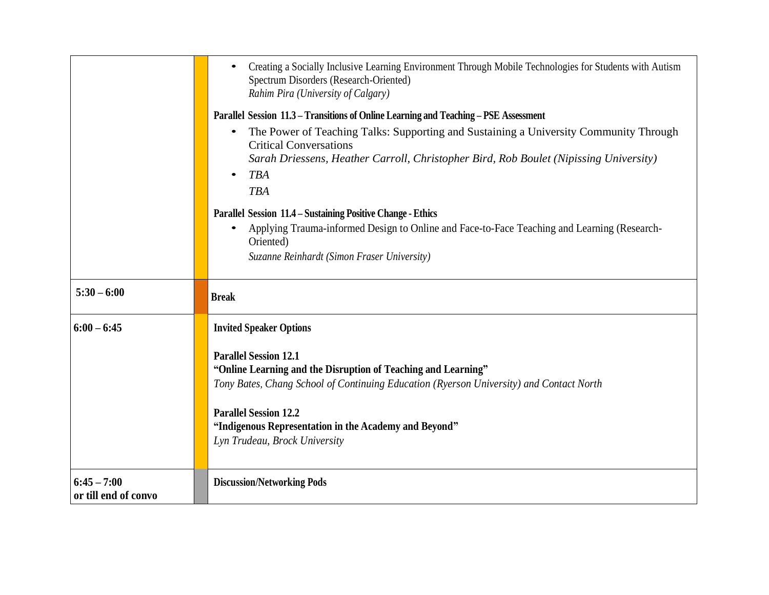|                                       | Creating a Socially Inclusive Learning Environment Through Mobile Technologies for Students with Autism<br>Spectrum Disorders (Research-Oriented)<br>Rahim Pira (University of Calgary)<br>Parallel Session 11.3 – Transitions of Online Learning and Teaching – PSE Assessment<br>The Power of Teaching Talks: Supporting and Sustaining a University Community Through<br>$\bullet$<br><b>Critical Conversations</b><br>Sarah Driessens, Heather Carroll, Christopher Bird, Rob Boulet (Nipissing University)<br><b>TBA</b><br><b>TBA</b><br><b>Parallel Session 11.4 - Sustaining Positive Change - Ethics</b><br>Applying Trauma-informed Design to Online and Face-to-Face Teaching and Learning (Research-<br>Oriented)<br>Suzanne Reinhardt (Simon Fraser University) |
|---------------------------------------|------------------------------------------------------------------------------------------------------------------------------------------------------------------------------------------------------------------------------------------------------------------------------------------------------------------------------------------------------------------------------------------------------------------------------------------------------------------------------------------------------------------------------------------------------------------------------------------------------------------------------------------------------------------------------------------------------------------------------------------------------------------------------|
| $5:30 - 6:00$                         | <b>Break</b>                                                                                                                                                                                                                                                                                                                                                                                                                                                                                                                                                                                                                                                                                                                                                                 |
| $6:00 - 6:45$                         | <b>Invited Speaker Options</b><br><b>Parallel Session 12.1</b><br>"Online Learning and the Disruption of Teaching and Learning"<br>Tony Bates, Chang School of Continuing Education (Ryerson University) and Contact North<br><b>Parallel Session 12.2</b><br>"Indigenous Representation in the Academy and Beyond"<br>Lyn Trudeau, Brock University                                                                                                                                                                                                                                                                                                                                                                                                                         |
| $6:45 - 7:00$<br>or till end of convo | <b>Discussion/Networking Pods</b>                                                                                                                                                                                                                                                                                                                                                                                                                                                                                                                                                                                                                                                                                                                                            |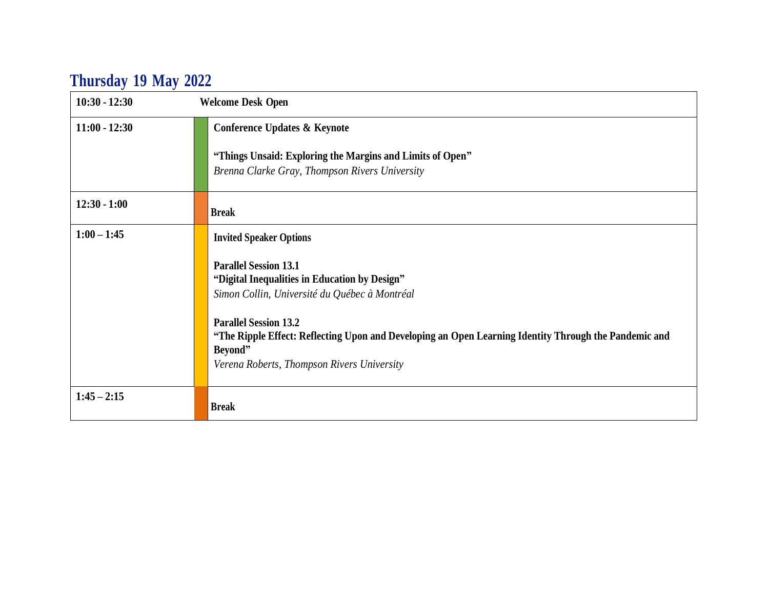# **Thursday 19 May 2022**

| $10:30 - 12:30$ | <b>Welcome Desk Open</b>                                                                                                                                                                                                                                                                                                         |
|-----------------|----------------------------------------------------------------------------------------------------------------------------------------------------------------------------------------------------------------------------------------------------------------------------------------------------------------------------------|
| $11:00 - 12:30$ | <b>Conference Updates &amp; Keynote</b>                                                                                                                                                                                                                                                                                          |
|                 | "Things Unsaid: Exploring the Margins and Limits of Open"<br>Brenna Clarke Gray, Thompson Rivers University                                                                                                                                                                                                                      |
| $12:30 - 1:00$  | <b>Break</b>                                                                                                                                                                                                                                                                                                                     |
| $1:00 - 1:45$   | <b>Invited Speaker Options</b>                                                                                                                                                                                                                                                                                                   |
|                 | <b>Parallel Session 13.1</b><br>"Digital Inequalities in Education by Design"<br>Simon Collin, Université du Québec à Montréal<br><b>Parallel Session 13.2</b><br>"The Ripple Effect: Reflecting Upon and Developing an Open Learning Identity Through the Pandemic and<br>Beyond"<br>Verena Roberts, Thompson Rivers University |
| $1:45 - 2:15$   | <b>Break</b>                                                                                                                                                                                                                                                                                                                     |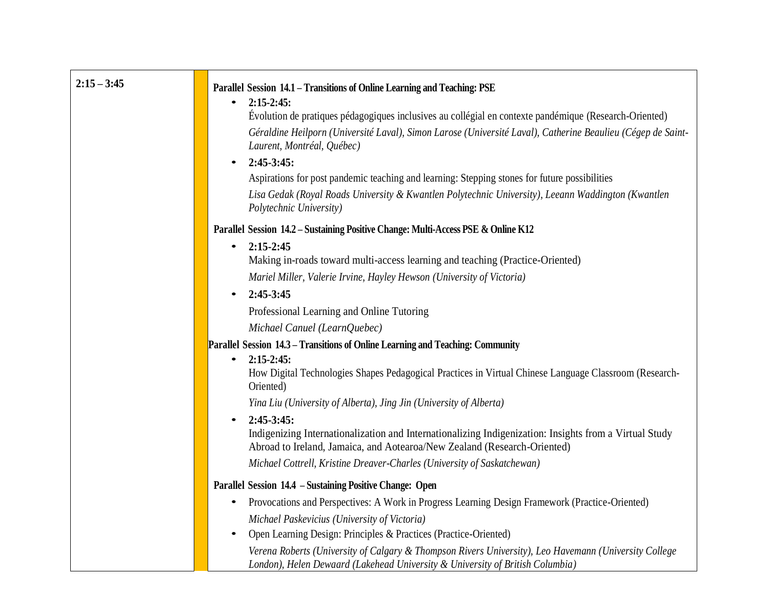| $2:15 - 3:45$ | Parallel Session 14.1 - Transitions of Online Learning and Teaching: PSE<br>$2:15-2:45:$<br>$\bullet$<br>Évolution de pratiques pédagogiques inclusives au collégial en contexte pandémique (Research-Oriented)<br>Géraldine Heilporn (Université Laval), Simon Larose (Université Laval), Catherine Beaulieu (Cégep de Saint-<br>Laurent, Montréal, Québec)<br>$2:45-3:45:$<br>$\bullet$<br>Aspirations for post pandemic teaching and learning: Stepping stones for future possibilities<br>Lisa Gedak (Royal Roads University & Kwantlen Polytechnic University), Leeann Waddington (Kwantlen<br>Polytechnic University) |
|---------------|-----------------------------------------------------------------------------------------------------------------------------------------------------------------------------------------------------------------------------------------------------------------------------------------------------------------------------------------------------------------------------------------------------------------------------------------------------------------------------------------------------------------------------------------------------------------------------------------------------------------------------|
|               | Parallel Session 14.2 - Sustaining Positive Change: Multi-Access PSE & Online K12                                                                                                                                                                                                                                                                                                                                                                                                                                                                                                                                           |
|               | $2:15-2:45$<br>$\bullet$<br>Making in-roads toward multi-access learning and teaching (Practice-Oriented)                                                                                                                                                                                                                                                                                                                                                                                                                                                                                                                   |
|               | Mariel Miller, Valerie Irvine, Hayley Hewson (University of Victoria)                                                                                                                                                                                                                                                                                                                                                                                                                                                                                                                                                       |
|               | $2:45-3:45$                                                                                                                                                                                                                                                                                                                                                                                                                                                                                                                                                                                                                 |
|               | Professional Learning and Online Tutoring                                                                                                                                                                                                                                                                                                                                                                                                                                                                                                                                                                                   |
|               | Michael Canuel (LearnQuebec)                                                                                                                                                                                                                                                                                                                                                                                                                                                                                                                                                                                                |
|               | Parallel Session 14.3 – Transitions of Online Learning and Teaching: Community                                                                                                                                                                                                                                                                                                                                                                                                                                                                                                                                              |
|               | $2:15-2:45:$<br>$\bullet$<br>How Digital Technologies Shapes Pedagogical Practices in Virtual Chinese Language Classroom (Research-<br>Oriented)                                                                                                                                                                                                                                                                                                                                                                                                                                                                            |
|               | Yina Liu (University of Alberta), Jing Jin (University of Alberta)                                                                                                                                                                                                                                                                                                                                                                                                                                                                                                                                                          |
|               | $2:45-3:45:$<br>Indigenizing Internationalization and Internationalizing Indigenization: Insights from a Virtual Study<br>Abroad to Ireland, Jamaica, and Aotearoa/New Zealand (Research-Oriented)<br>Michael Cottrell, Kristine Dreaver-Charles (University of Saskatchewan)                                                                                                                                                                                                                                                                                                                                               |
|               | Parallel Session 14.4 - Sustaining Positive Change: Open                                                                                                                                                                                                                                                                                                                                                                                                                                                                                                                                                                    |
|               | Provocations and Perspectives: A Work in Progress Learning Design Framework (Practice-Oriented)<br>$\bullet$                                                                                                                                                                                                                                                                                                                                                                                                                                                                                                                |
|               | Michael Paskevicius (University of Victoria)                                                                                                                                                                                                                                                                                                                                                                                                                                                                                                                                                                                |
|               | Open Learning Design: Principles & Practices (Practice-Oriented)                                                                                                                                                                                                                                                                                                                                                                                                                                                                                                                                                            |
|               | Verena Roberts (University of Calgary & Thompson Rivers University), Leo Havemann (University College<br>London), Helen Dewaard (Lakehead University & University of British Columbia)                                                                                                                                                                                                                                                                                                                                                                                                                                      |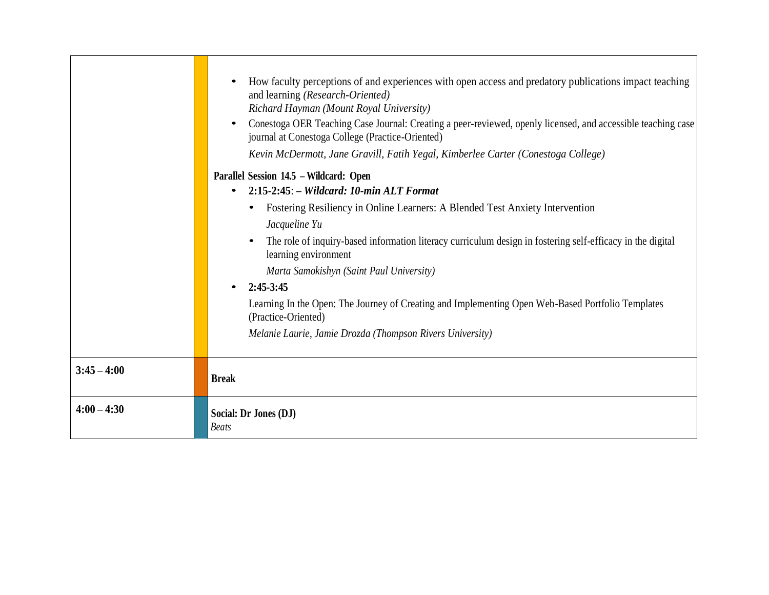|               | How faculty perceptions of and experiences with open access and predatory publications impact teaching<br>and learning (Research-Oriented)<br>Richard Hayman (Mount Royal University)<br>Conestoga OER Teaching Case Journal: Creating a peer-reviewed, openly licensed, and accessible teaching case<br>journal at Conestoga College (Practice-Oriented)<br>Kevin McDermott, Jane Gravill, Fatih Yegal, Kimberlee Carter (Conestoga College)<br>Parallel Session 14.5 – Wildcard: Open<br>$2:15-2:45:$ – Wildcard: 10-min ALT Format<br>$\bullet$<br>Fostering Resiliency in Online Learners: A Blended Test Anxiety Intervention<br>Jacqueline Yu<br>The role of inquiry-based information literacy curriculum design in fostering self-efficacy in the digital<br>learning environment<br>Marta Samokishyn (Saint Paul University)<br>$2:45-3:45$<br>Learning In the Open: The Journey of Creating and Implementing Open Web-Based Portfolio Templates<br>(Practice-Oriented)<br>Melanie Laurie, Jamie Drozda (Thompson Rivers University) |
|---------------|-----------------------------------------------------------------------------------------------------------------------------------------------------------------------------------------------------------------------------------------------------------------------------------------------------------------------------------------------------------------------------------------------------------------------------------------------------------------------------------------------------------------------------------------------------------------------------------------------------------------------------------------------------------------------------------------------------------------------------------------------------------------------------------------------------------------------------------------------------------------------------------------------------------------------------------------------------------------------------------------------------------------------------------------------|
| $3:45 - 4:00$ | <b>Break</b>                                                                                                                                                                                                                                                                                                                                                                                                                                                                                                                                                                                                                                                                                                                                                                                                                                                                                                                                                                                                                                  |
| $4:00 - 4:30$ | Social: Dr Jones (DJ)<br><b>Beats</b>                                                                                                                                                                                                                                                                                                                                                                                                                                                                                                                                                                                                                                                                                                                                                                                                                                                                                                                                                                                                         |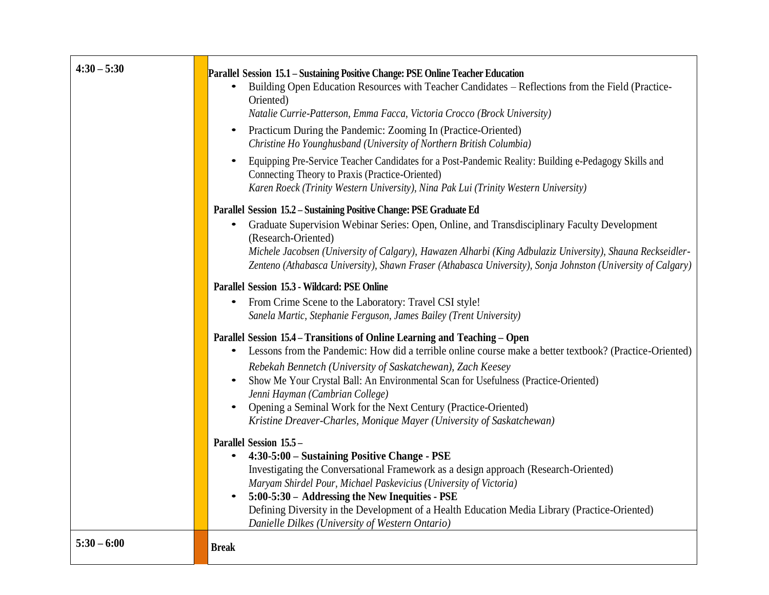| $4:30 - 5:30$ | Parallel Session 15.1 - Sustaining Positive Change: PSE Online Teacher Education<br>Building Open Education Resources with Teacher Candidates - Reflections from the Field (Practice-<br>Oriented)<br>Natalie Currie-Patterson, Emma Facca, Victoria Crocco (Brock University)<br>Practicum During the Pandemic: Zooming In (Practice-Oriented)<br>$\bullet$<br>Christine Ho Younghusband (University of Northern British Columbia)<br>Equipping Pre-Service Teacher Candidates for a Post-Pandemic Reality: Building e-Pedagogy Skills and<br>Connecting Theory to Praxis (Practice-Oriented)<br>Karen Roeck (Trinity Western University), Nina Pak Lui (Trinity Western University) |
|---------------|---------------------------------------------------------------------------------------------------------------------------------------------------------------------------------------------------------------------------------------------------------------------------------------------------------------------------------------------------------------------------------------------------------------------------------------------------------------------------------------------------------------------------------------------------------------------------------------------------------------------------------------------------------------------------------------|
|               | Parallel Session 15.2 - Sustaining Positive Change: PSE Graduate Ed<br>Graduate Supervision Webinar Series: Open, Online, and Transdisciplinary Faculty Development<br>$\bullet$<br>(Research-Oriented)<br>Michele Jacobsen (University of Calgary), Hawazen Alharbi (King Adbulaziz University), Shauna Reckseidler-<br>Zenteno (Athabasca University), Shawn Fraser (Athabasca University), Sonja Johnston (University of Calgary)<br><b>Parallel Session 15.3 - Wildcard: PSE Online</b><br>From Crime Scene to the Laboratory: Travel CSI style!<br>$\bullet$<br>Sanela Martic, Stephanie Ferguson, James Bailey (Trent University)                                               |
|               | Parallel Session 15.4 – Transitions of Online Learning and Teaching – Open<br>Lessons from the Pandemic: How did a terrible online course make a better textbook? (Practice-Oriented)<br>$\bullet$<br>Rebekah Bennetch (University of Saskatchewan), Zach Keesey<br>Show Me Your Crystal Ball: An Environmental Scan for Usefulness (Practice-Oriented)<br>$\bullet$<br>Jenni Hayman (Cambrian College)<br>Opening a Seminal Work for the Next Century (Practice-Oriented)<br>Kristine Dreaver-Charles, Monique Mayer (University of Saskatchewan)                                                                                                                                    |
|               | Parallel Session 15.5 -<br>4:30-5:00 - Sustaining Positive Change - PSE<br>$\bullet$<br>Investigating the Conversational Framework as a design approach (Research-Oriented)<br>Maryam Shirdel Pour, Michael Paskevicius (University of Victoria)<br>5:00-5:30 - Addressing the New Inequities - PSE<br>$\bullet$<br>Defining Diversity in the Development of a Health Education Media Library (Practice-Oriented)<br>Danielle Dilkes (University of Western Ontario)                                                                                                                                                                                                                  |
| $5:30 - 6:00$ | <b>Break</b>                                                                                                                                                                                                                                                                                                                                                                                                                                                                                                                                                                                                                                                                          |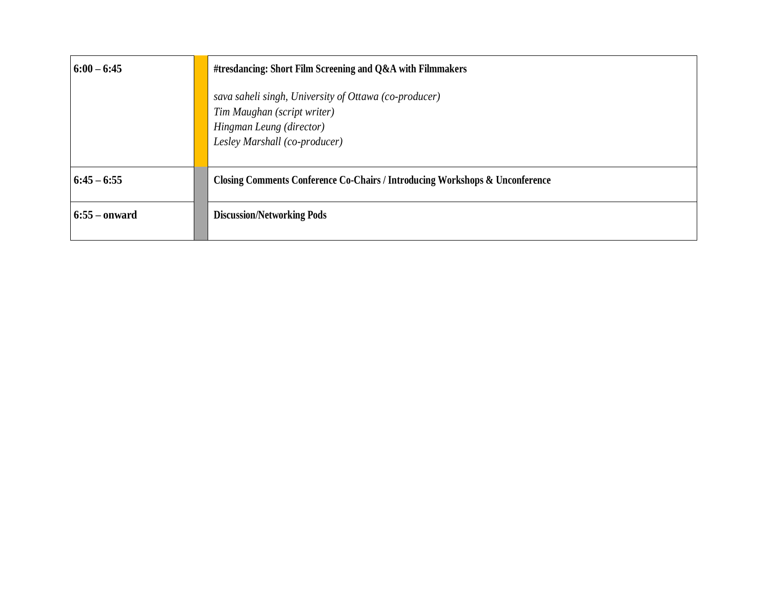| $6:00 - 6:45$   | #tresdancing: Short Film Screening and Q&A with Filmmakers                                                                                        |
|-----------------|---------------------------------------------------------------------------------------------------------------------------------------------------|
|                 | sava saheli singh, University of Ottawa (co-producer)<br>Tim Maughan (script writer)<br>Hingman Leung (director)<br>Lesley Marshall (co-producer) |
| $6:45 - 6:55$   | <b>Closing Comments Conference Co-Chairs / Introducing Workshops &amp; Unconference</b>                                                           |
| $6:55 -$ onward | <b>Discussion/Networking Pods</b>                                                                                                                 |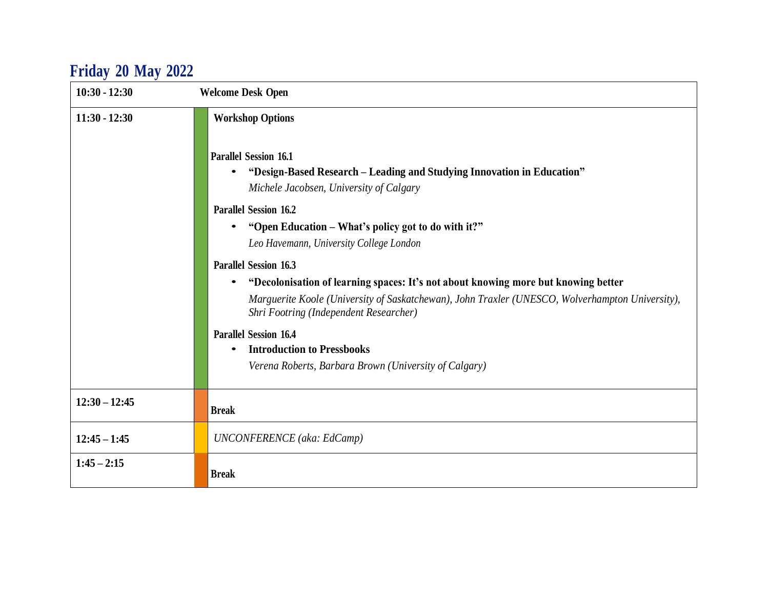# **Friday 20 May 2022**

| $10:30 - 12:30$ | <b>Welcome Desk Open</b>                                                                                                                                                                                                                                                                                                                                                                                                                                                                                                                                                                                                                                                                                        |
|-----------------|-----------------------------------------------------------------------------------------------------------------------------------------------------------------------------------------------------------------------------------------------------------------------------------------------------------------------------------------------------------------------------------------------------------------------------------------------------------------------------------------------------------------------------------------------------------------------------------------------------------------------------------------------------------------------------------------------------------------|
| $11:30 - 12:30$ | <b>Workshop Options</b><br><b>Parallel Session 16.1</b><br>"Design-Based Research - Leading and Studying Innovation in Education"<br>Michele Jacobsen, University of Calgary<br><b>Parallel Session 16.2</b><br>"Open Education – What's policy got to do with it?"<br>Leo Havemann, University College London<br><b>Parallel Session 16.3</b><br>"Decolonisation of learning spaces: It's not about knowing more but knowing better<br>Marguerite Koole (University of Saskatchewan), John Traxler (UNESCO, Wolverhampton University),<br>Shri Footring (Independent Researcher)<br><b>Parallel Session 16.4</b><br><b>Introduction to Pressbooks</b><br>Verena Roberts, Barbara Brown (University of Calgary) |
| $12:30 - 12:45$ | <b>Break</b>                                                                                                                                                                                                                                                                                                                                                                                                                                                                                                                                                                                                                                                                                                    |
| $12:45 - 1:45$  | <b>UNCONFERENCE</b> (aka: EdCamp)                                                                                                                                                                                                                                                                                                                                                                                                                                                                                                                                                                                                                                                                               |
| $1:45 - 2:15$   | <b>Break</b>                                                                                                                                                                                                                                                                                                                                                                                                                                                                                                                                                                                                                                                                                                    |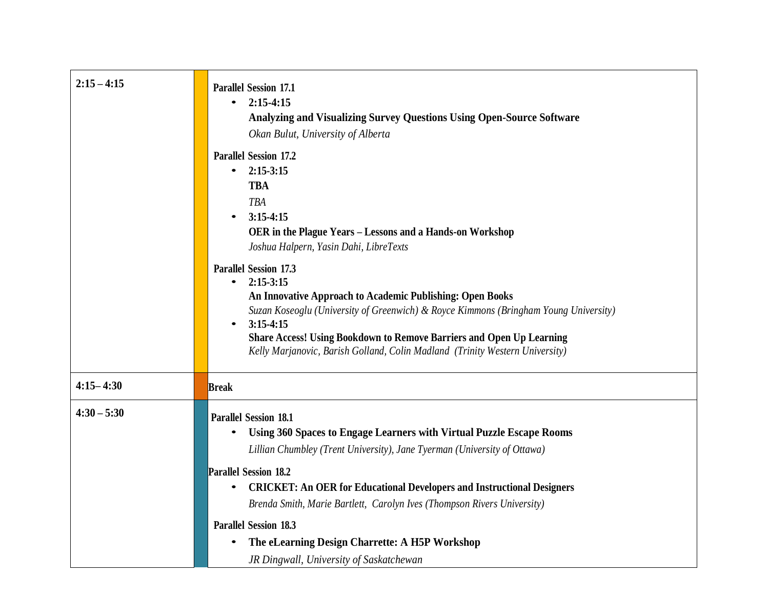| $2:15 - 4:15$ | <b>Parallel Session 17.1</b><br>$2:15-4:15$<br>$\bullet$<br><b>Analyzing and Visualizing Survey Questions Using Open-Source Software</b><br>Okan Bulut, University of Alberta                                                                                                                                                                                                                            |
|---------------|----------------------------------------------------------------------------------------------------------------------------------------------------------------------------------------------------------------------------------------------------------------------------------------------------------------------------------------------------------------------------------------------------------|
|               | <b>Parallel Session 17.2</b><br>$2:15-3:15$<br>$\bullet$<br><b>TBA</b><br><b>TBA</b><br>$3:15-4:15$<br>OER in the Plague Years - Lessons and a Hands-on Workshop<br>Joshua Halpern, Yasin Dahi, LibreTexts                                                                                                                                                                                               |
|               | <b>Parallel Session 17.3</b><br>$2:15-3:15$<br>$\bullet$<br>An Innovative Approach to Academic Publishing: Open Books<br>Suzan Koseoglu (University of Greenwich) & Royce Kimmons (Bringham Young University)<br>$3:15-4:15$<br>$\bullet$<br><b>Share Access! Using Bookdown to Remove Barriers and Open Up Learning</b><br>Kelly Marjanovic, Barish Golland, Colin Madland (Trinity Western University) |
| $4:15 - 4:30$ | <b>Break</b>                                                                                                                                                                                                                                                                                                                                                                                             |
| $4:30 - 5:30$ | <b>Parallel Session 18.1</b><br>Using 360 Spaces to Engage Learners with Virtual Puzzle Escape Rooms<br>Lillian Chumbley (Trent University), Jane Tyerman (University of Ottawa)<br><b>Parallel Session 18.2</b><br><b>CRICKET: An OER for Educational Developers and Instructional Designers</b><br>$\bullet$<br>Brenda Smith, Marie Bartlett, Carolyn Ives (Thompson Rivers University)                |
|               | <b>Parallel Session 18.3</b><br>The eLearning Design Charrette: A H5P Workshop<br>JR Dingwall, University of Saskatchewan                                                                                                                                                                                                                                                                                |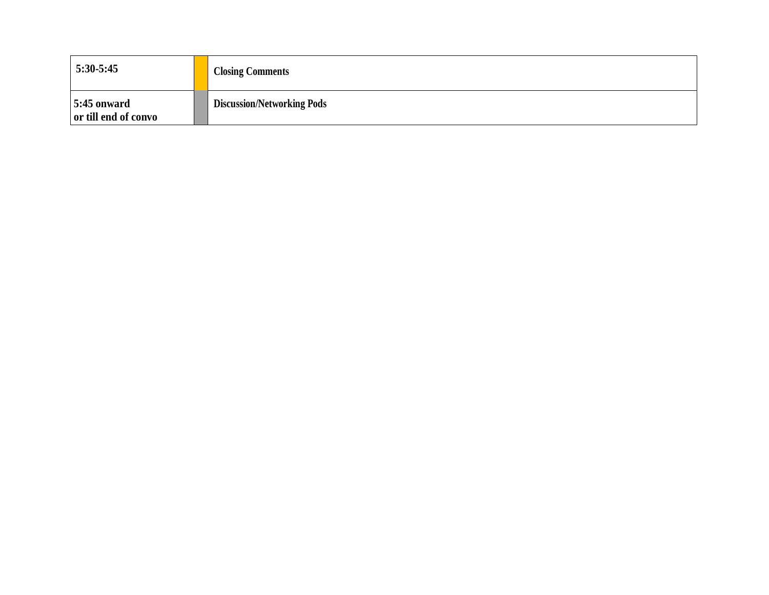| 5:30-5:45                             | <b>Closing Comments</b>           |
|---------------------------------------|-----------------------------------|
| $5:45$ onward<br>or till end of convo | <b>Discussion/Networking Pods</b> |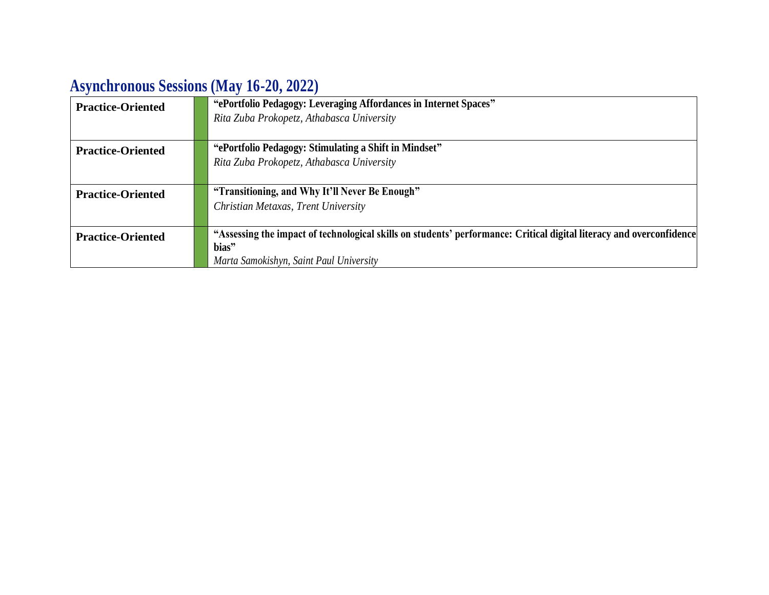# **Asynchronous Sessions (May 16-20, 2022)**

| <b>Practice-Oriented</b> | "ePortfolio Pedagogy: Leveraging Affordances in Internet Spaces"<br>Rita Zuba Prokopetz, Athabasca University        |
|--------------------------|----------------------------------------------------------------------------------------------------------------------|
|                          |                                                                                                                      |
| <b>Practice-Oriented</b> | "ePortfolio Pedagogy: Stimulating a Shift in Mindset"                                                                |
|                          | Rita Zuba Prokopetz, Athabasca University                                                                            |
|                          |                                                                                                                      |
| <b>Practice-Oriented</b> | "Transitioning, and Why It'll Never Be Enough"                                                                       |
|                          | Christian Metaxas, Trent University                                                                                  |
| <b>Practice-Oriented</b> | "Assessing the impact of technological skills on students' performance: Critical digital literacy and overconfidence |
|                          | bias"                                                                                                                |
|                          | Marta Samokishyn, Saint Paul University                                                                              |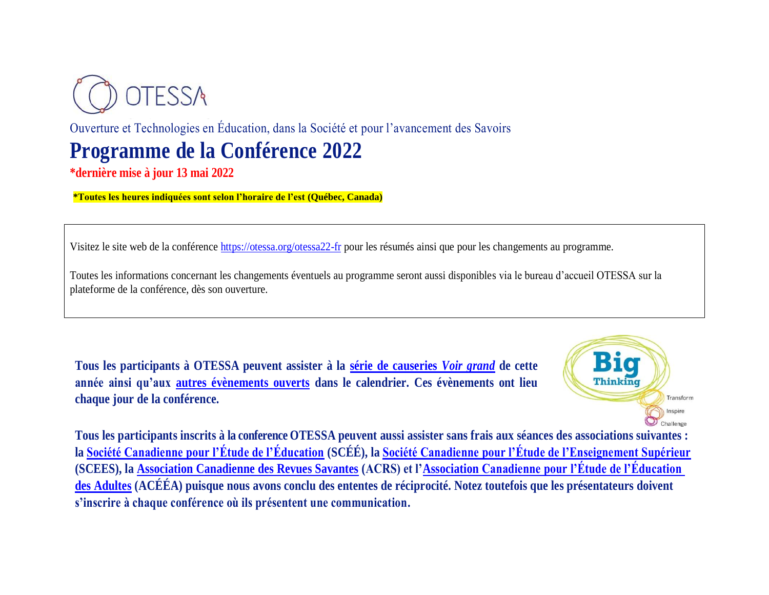

Ouverture et Technologies en Éducation, dans la Société et pour l'avancement des Savoirs

# **Programme de la Conférence 2022**

**\*dernière mise à jour 13 mai 2022**

**\*Toutes les heures indiquées sont selon l'horaire de l'est (Québec, Canada)**

Visitez le site web de la conférence [https://otessa.org/otessa22-fr](https://otessa.org/otessa22-fr/) pour les résumés ainsi que pour les changements au programme.

Toutes les informations concernant les changements éventuels au programme seront aussi disponibles via le bureau d'accueil OTESSA sur la plateforme de la conférence, dès son ouverture.

**Tous les participants à OTESSA peuvent assister à la [série de causeries](https://www.federationhss.ca/fr/congres/congres-2022/programme/programmation-ouverte)** *Voir grand* **de cette année ainsi qu'aux [autres évènements ouverts](https://www.federationhss.ca/fr/congres/congres-2022/calendrier-des-evenements-ouverts) dans le calendrier. Ces évènements ont lieu chaque jour de la conférence.** 



**Tous les participants inscrits à la conference OTESSA peuvent aussi assister sans frais aux séances des associations suivantes : la [Société Canadienne pour l'Étude de l'Éducation](https://csse-scee.ca/fr) (SCÉÉ), la [Société Canadienne pour l'Étude de l'Enseignement Supérieur](https://csshe-scees.ca/francais/) (SCEES), la [Association Canadienne des Revues Savantes](https://www.calj-acrs.ca/fr) (ACRS) et l['Association](https://www.casae-aceea.ca/) Canadienne pour l'Étude de l'Éducation des Adultes (ACÉÉA) puisque nous avons conclu des ententes de réciprocité. Notez toutefois que les présentateurs doivent s'inscrire à chaque conférence où ils présentent une communication.**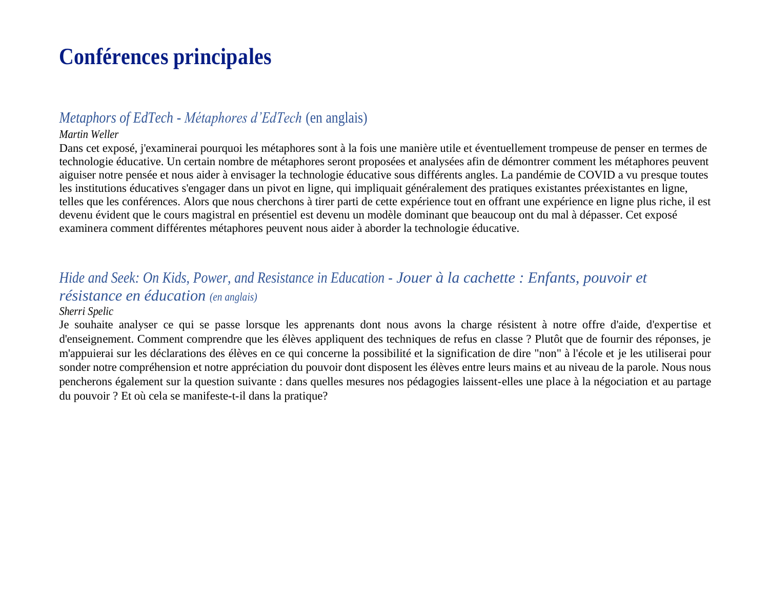# **Conférences principales**

### *Metaphors of EdTech - Métaphores d'EdTech* (en anglais)

### *Martin Weller*

Dans cet exposé, j'examinerai pourquoi les métaphores sont à la fois une manière utile et éventuellement trompeuse de penser en termes de technologie éducative. Un certain nombre de métaphores seront proposées et analysées afin de démontrer comment les métaphores peuvent aiguiser notre pensée et nous aider à envisager la technologie éducative sous différents angles. La pandémie de COVID a vu presque toutes les institutions éducatives s'engager dans un pivot en ligne, qui impliquait généralement des pratiques existantes préexistantes en ligne, telles que les conférences. Alors que nous cherchons à tirer parti de cette expérience tout en offrant une expérience en ligne plus riche, il est devenu évident que le cours magistral en présentiel est devenu un modèle dominant que beaucoup ont du mal à dépasser. Cet exposé examinera comment différentes métaphores peuvent nous aider à aborder la technologie éducative.

## *Hide and Seek: On Kids, Power, and Resistance in Education - Jouer à la cachette : Enfants, pouvoir et résistance en éducation (en anglais)*

#### *Sherri Spelic*

Je souhaite analyser ce qui se passe lorsque les apprenants dont nous avons la charge résistent à notre offre d'aide, d'expertise et d'enseignement. Comment comprendre que les élèves appliquent des techniques de refus en classe ? Plutôt que de fournir des réponses, je m'appuierai sur les déclarations des élèves en ce qui concerne la possibilité et la signification de dire "non" à l'école et je les utiliserai pour sonder notre compréhension et notre appréciation du pouvoir dont disposent les élèves entre leurs mains et au niveau de la parole. Nous nous pencherons également sur la question suivante : dans quelles mesures nos pédagogies laissent-elles une place à la négociation et au partage du pouvoir ? Et où cela se manifeste-t-il dans la pratique?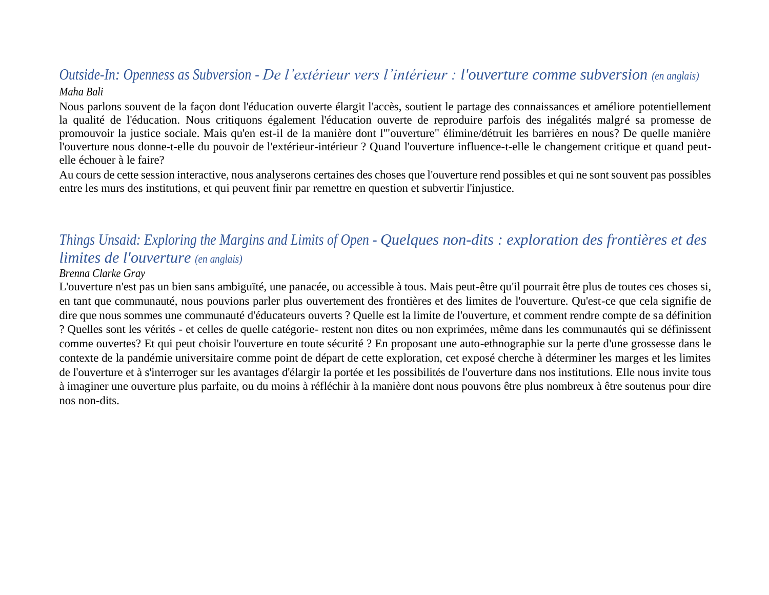### *Outside-In: Openness as Subversion - De l'extérieur vers l'intérieur : l'ouverture comme subversion (en anglais) Maha Bali*

Nous parlons souvent de la façon dont l'éducation ouverte élargit l'accès, soutient le partage des connaissances et améliore potentiellement la qualité de l'éducation. Nous critiquons également l'éducation ouverte de reproduire parfois des inégalités malgré sa promesse de promouvoir la justice sociale. Mais qu'en est-il de la manière dont l'"ouverture" élimine/détruit les barrières en nous? De quelle manière l'ouverture nous donne-t-elle du pouvoir de l'extérieur-intérieur ? Quand l'ouverture influence-t-elle le changement critique et quand peutelle échouer à le faire?

Au cours de cette session interactive, nous analyserons certaines des choses que l'ouverture rend possibles et qui ne sont souvent pas possibles entre les murs des institutions, et qui peuvent finir par remettre en question et subvertir l'injustice.

### *Things Unsaid: Exploring the Margins and Limits of Open - Quelques non-dits : exploration des frontières et des limites de l'ouverture (en anglais)*

#### *Brenna Clarke Gray*

L'ouverture n'est pas un bien sans ambiguïté, une panacée, ou accessible à tous. Mais peut-être qu'il pourrait être plus de toutes ces choses si, en tant que communauté, nous pouvions parler plus ouvertement des frontières et des limites de l'ouverture. Qu'est-ce que cela signifie de dire que nous sommes une communauté d'éducateurs ouverts ? Quelle est la limite de l'ouverture, et comment rendre compte de sa définition ? Quelles sont les vérités - et celles de quelle catégorie- restent non dites ou non exprimées, même dans les communautés qui se définissent comme ouvertes? Et qui peut choisir l'ouverture en toute sécurité ? En proposant une auto-ethnographie sur la perte d'une grossesse dans le contexte de la pandémie universitaire comme point de départ de cette exploration, cet exposé cherche à déterminer les marges et les limites de l'ouverture et à s'interroger sur les avantages d'élargir la portée et les possibilités de l'ouverture dans nos institutions. Elle nous invite tous à imaginer une ouverture plus parfaite, ou du moins à réfléchir à la manière dont nous pouvons être plus nombreux à être soutenus pour dire nos non-dits.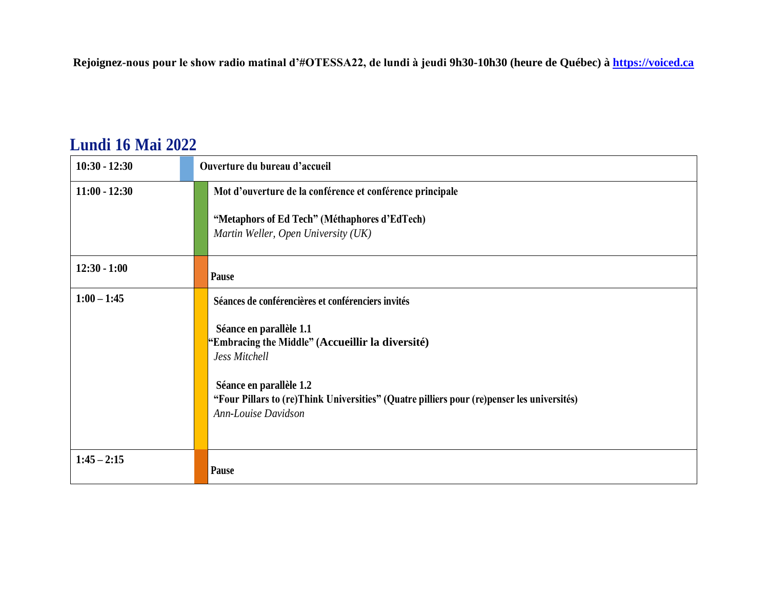**Rejoignez-nous pour le show radio matinal d'#OTESSA22, de lundi à jeudi 9h30-10h30 (heure de Québec) à [https://voiced.ca](https://voiced.ca/)**

## **Lundi 16 Mai 2022**

| $10:30 - 12:30$ | Ouverture du bureau d'accueil                                                                                                                                                                                                                                                                      |
|-----------------|----------------------------------------------------------------------------------------------------------------------------------------------------------------------------------------------------------------------------------------------------------------------------------------------------|
| $11:00 - 12:30$ | Mot d'ouverture de la conférence et conférence principale                                                                                                                                                                                                                                          |
|                 | "Metaphors of Ed Tech" (Méthaphores d'EdTech)<br>Martin Weller, Open University (UK)                                                                                                                                                                                                               |
| $12:30 - 1:00$  | Pause                                                                                                                                                                                                                                                                                              |
| $1:00 - 1:45$   | Séances de conférencières et conférenciers invités<br>Séance en parallèle 1.1<br>"Embracing the Middle" (Accueillir la diversité)<br>Jess Mitchell<br>Séance en parallèle 1.2<br>"Four Pillars to (re)Think Universities" (Quatre pilliers pour (re)penser les universités)<br>Ann-Louise Davidson |
| $1:45 - 2:15$   | Pause                                                                                                                                                                                                                                                                                              |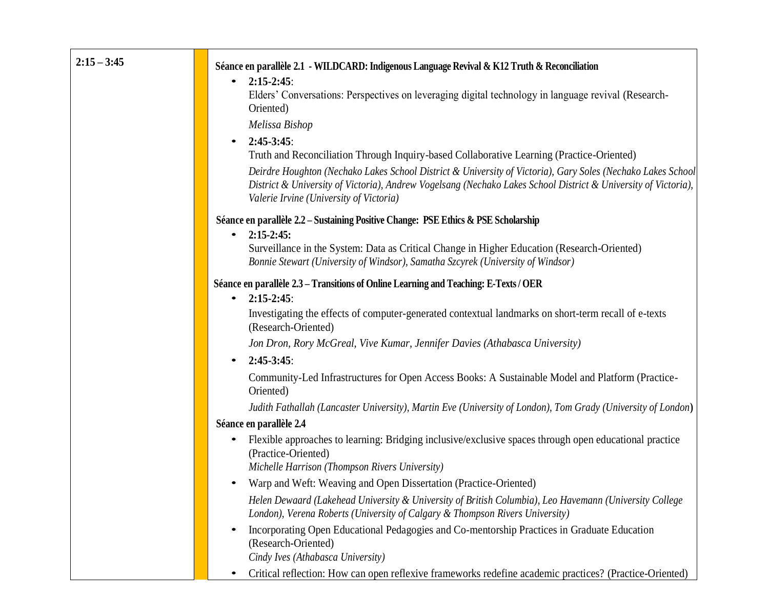| $2:15 - 3:45$ | Séance en parallèle 2.1 - WILDCARD: Indigenous Language Revival & K12 Truth & Reconciliation                                                                                                                                                                             |
|---------------|--------------------------------------------------------------------------------------------------------------------------------------------------------------------------------------------------------------------------------------------------------------------------|
|               | $2:15-2:45$ :<br>$\bullet$                                                                                                                                                                                                                                               |
|               | Elders' Conversations: Perspectives on leveraging digital technology in language revival (Research-<br>Oriented)                                                                                                                                                         |
|               | Melissa Bishop                                                                                                                                                                                                                                                           |
|               | $2:45-3:45$ :<br>$\bullet$                                                                                                                                                                                                                                               |
|               | Truth and Reconciliation Through Inquiry-based Collaborative Learning (Practice-Oriented)                                                                                                                                                                                |
|               | Deirdre Houghton (Nechako Lakes School District & University of Victoria), Gary Soles (Nechako Lakes School<br>District & University of Victoria), Andrew Vogelsang (Nechako Lakes School District & University of Victoria),<br>Valerie Irvine (University of Victoria) |
|               | Séance en parallèle 2.2 – Sustaining Positive Change: PSE Ethics & PSE Scholarship<br>$2:15-2:45:$<br>$\bullet$                                                                                                                                                          |
|               | Surveillance in the System: Data as Critical Change in Higher Education (Research-Oriented)<br>Bonnie Stewart (University of Windsor), Samatha Szcyrek (University of Windsor)                                                                                           |
|               | Séance en parallèle 2.3 – Transitions of Online Learning and Teaching: E-Texts / OER                                                                                                                                                                                     |
|               | $2:15-2:45$ :<br>$\bullet$                                                                                                                                                                                                                                               |
|               | Investigating the effects of computer-generated contextual landmarks on short-term recall of e-texts<br>(Research-Oriented)                                                                                                                                              |
|               | Jon Dron, Rory McGreal, Vive Kumar, Jennifer Davies (Athabasca University)                                                                                                                                                                                               |
|               | $2:45-3:45$ :                                                                                                                                                                                                                                                            |
|               | Community-Led Infrastructures for Open Access Books: A Sustainable Model and Platform (Practice-<br>Oriented)                                                                                                                                                            |
|               | Judith Fathallah (Lancaster University), Martin Eve (University of London), Tom Grady (University of London)                                                                                                                                                             |
|               | Séance en parallèle 2.4                                                                                                                                                                                                                                                  |
|               | Flexible approaches to learning: Bridging inclusive/exclusive spaces through open educational practice<br>(Practice-Oriented)                                                                                                                                            |
|               | Michelle Harrison (Thompson Rivers University)                                                                                                                                                                                                                           |
|               | Warp and Weft: Weaving and Open Dissertation (Practice-Oriented)                                                                                                                                                                                                         |
|               | Helen Dewaard (Lakehead University & University of British Columbia), Leo Havemann (University College<br>London), Verena Roberts (University of Calgary & Thompson Rivers University)                                                                                   |
|               | Incorporating Open Educational Pedagogies and Co-mentorship Practices in Graduate Education<br>(Research-Oriented)                                                                                                                                                       |
|               |                                                                                                                                                                                                                                                                          |
|               | Cindy Ives (Athabasca University)<br>Critical reflection: How can open reflexive frameworks redefine academic practices? (Practice-Oriented)                                                                                                                             |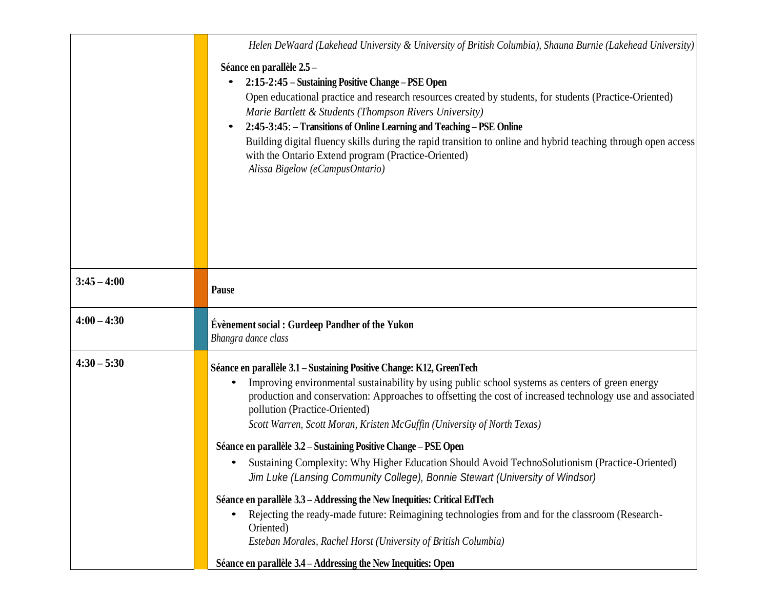|               | Helen DeWaard (Lakehead University & University of British Columbia), Shauna Burnie (Lakehead University)                                                                                                                                                                                                                                                                                                                                                                                                                                                                                                                                                                                                                                                                                                                                                                                                                                                                                  |
|---------------|--------------------------------------------------------------------------------------------------------------------------------------------------------------------------------------------------------------------------------------------------------------------------------------------------------------------------------------------------------------------------------------------------------------------------------------------------------------------------------------------------------------------------------------------------------------------------------------------------------------------------------------------------------------------------------------------------------------------------------------------------------------------------------------------------------------------------------------------------------------------------------------------------------------------------------------------------------------------------------------------|
|               | Séance en parallèle 2.5-<br>2:15-2:45 – Sustaining Positive Change – PSE Open<br>Open educational practice and research resources created by students, for students (Practice-Oriented)<br>Marie Bartlett & Students (Thompson Rivers University)<br>2:45-3:45: - Transitions of Online Learning and Teaching - PSE Online<br>Building digital fluency skills during the rapid transition to online and hybrid teaching through open access<br>with the Ontario Extend program (Practice-Oriented)<br>Alissa Bigelow (eCampusOntario)                                                                                                                                                                                                                                                                                                                                                                                                                                                      |
| $3:45 - 4:00$ | <b>Pause</b>                                                                                                                                                                                                                                                                                                                                                                                                                                                                                                                                                                                                                                                                                                                                                                                                                                                                                                                                                                               |
| $4:00 - 4:30$ | <b>Évènement social : Gurdeep Pandher of the Yukon</b><br>Bhangra dance class                                                                                                                                                                                                                                                                                                                                                                                                                                                                                                                                                                                                                                                                                                                                                                                                                                                                                                              |
| $4:30 - 5:30$ | Séance en parallèle 3.1 – Sustaining Positive Change: K12, GreenTech<br>Improving environmental sustainability by using public school systems as centers of green energy<br>production and conservation: Approaches to offsetting the cost of increased technology use and associated<br>pollution (Practice-Oriented)<br>Scott Warren, Scott Moran, Kristen McGuffin (University of North Texas)<br>Séance en parallèle 3.2 – Sustaining Positive Change – PSE Open<br>Sustaining Complexity: Why Higher Education Should Avoid TechnoSolutionism (Practice-Oriented)<br>٠<br>Jim Luke (Lansing Community College), Bonnie Stewart (University of Windsor)<br>Séance en parallèle 3.3 – Addressing the New Inequities: Critical EdTech<br>Rejecting the ready-made future: Reimagining technologies from and for the classroom (Research-<br>Oriented)<br>Esteban Morales, Rachel Horst (University of British Columbia)<br>Séance en parallèle 3.4 – Addressing the New Inequities: Open |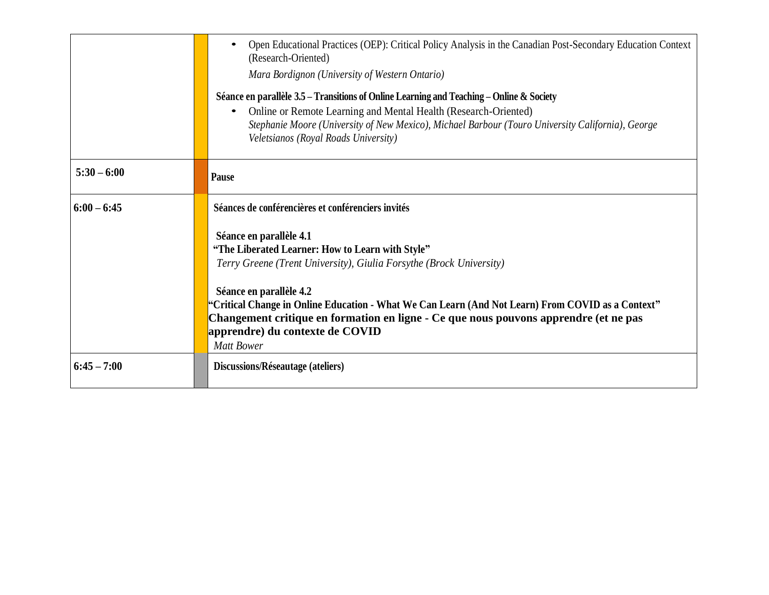|               | Open Educational Practices (OEP): Critical Policy Analysis in the Canadian Post-Secondary Education Context<br>$\bullet$<br>(Research-Oriented)<br>Mara Bordignon (University of Western Ontario)<br>Séance en parallèle 3.5 – Transitions of Online Learning and Teaching – Online & Society<br>Online or Remote Learning and Mental Health (Research-Oriented)<br>$\bullet$<br>Stephanie Moore (University of New Mexico), Michael Barbour (Touro University California), George<br>Veletsianos (Royal Roads University) |
|---------------|----------------------------------------------------------------------------------------------------------------------------------------------------------------------------------------------------------------------------------------------------------------------------------------------------------------------------------------------------------------------------------------------------------------------------------------------------------------------------------------------------------------------------|
| $5:30 - 6:00$ | Pause                                                                                                                                                                                                                                                                                                                                                                                                                                                                                                                      |
| $6:00 - 6:45$ | Séances de conférencières et conférenciers invités                                                                                                                                                                                                                                                                                                                                                                                                                                                                         |
|               | Séance en parallèle 4.1<br>"The Liberated Learner: How to Learn with Style"<br>Terry Greene (Trent University), Giulia Forsythe (Brock University)                                                                                                                                                                                                                                                                                                                                                                         |
|               | Séance en parallèle 4.2<br>"Critical Change in Online Education - What We Can Learn (And Not Learn) From COVID as a Context"<br>Changement critique en formation en ligne - Ce que nous pouvons apprendre (et ne pas<br>apprendre) du contexte de COVID<br><b>Matt Bower</b>                                                                                                                                                                                                                                               |
| $6:45 - 7:00$ | Discussions/Réseautage (ateliers)                                                                                                                                                                                                                                                                                                                                                                                                                                                                                          |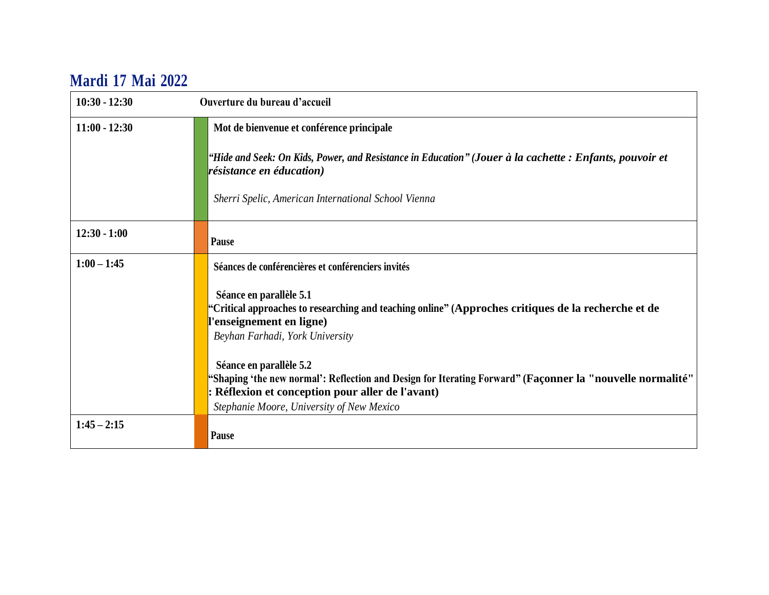## **Mardi 17 Mai 2022**

| $10:30 - 12:30$ | Ouverture du bureau d'accueil                                                                                                                                                                                                         |
|-----------------|---------------------------------------------------------------------------------------------------------------------------------------------------------------------------------------------------------------------------------------|
| $11:00 - 12:30$ | Mot de bienvenue et conférence principale                                                                                                                                                                                             |
|                 | "Hide and Seek: On Kids, Power, and Resistance in Education" (Jouer à la cachette: Enfants, pouvoir et<br>résistance en éducation)                                                                                                    |
|                 | Sherri Spelic, American International School Vienna                                                                                                                                                                                   |
| $12:30 - 1:00$  | Pause                                                                                                                                                                                                                                 |
| $1:00 - 1:45$   | Séances de conférencières et conférenciers invités                                                                                                                                                                                    |
|                 | Séance en parallèle 5.1<br>"Critical approaches to researching and teaching online" (Approches critiques de la recherche et de<br>'enseignement en ligne)<br>Beyhan Farhadi, York University                                          |
|                 | Séance en parallèle 5.2<br>"Shaping 'the new normal': Reflection and Design for Iterating Forward" (Façonner la "nouvelle normalité"<br>: Réflexion et conception pour aller de l'avant)<br>Stephanie Moore, University of New Mexico |
| $1:45 - 2:15$   | Pause                                                                                                                                                                                                                                 |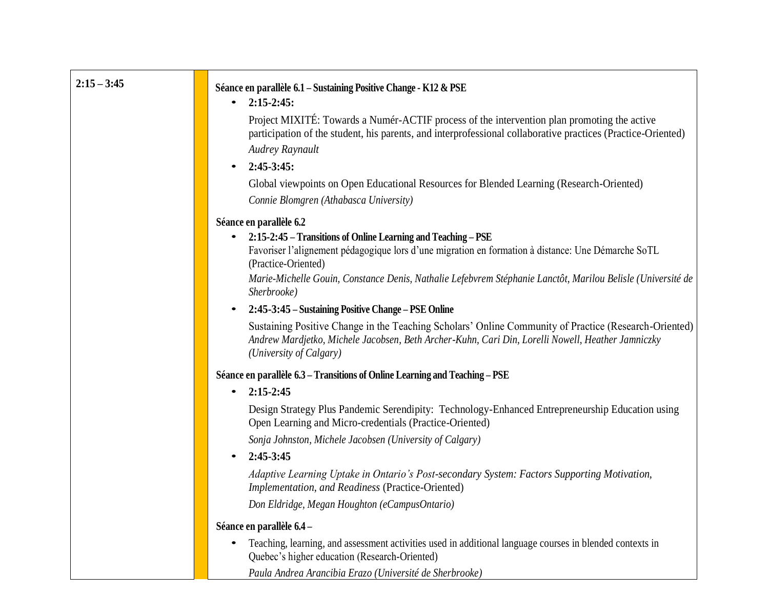| $2:15 - 3:45$ | Séance en parallèle 6.1 – Sustaining Positive Change - K12 & PSE                                                                                                                                                                      |
|---------------|---------------------------------------------------------------------------------------------------------------------------------------------------------------------------------------------------------------------------------------|
|               | $2:15-2:45$ :<br>$\bullet$                                                                                                                                                                                                            |
|               | Project MIXITÉ: Towards a Numér-ACTIF process of the intervention plan promoting the active<br>participation of the student, his parents, and interprofessional collaborative practices (Practice-Oriented)                           |
|               | Audrey Raynault                                                                                                                                                                                                                       |
|               | $2:45-3:45:$<br>$\bullet$                                                                                                                                                                                                             |
|               | Global viewpoints on Open Educational Resources for Blended Learning (Research-Oriented)<br>Connie Blomgren (Athabasca University)                                                                                                    |
|               | Séance en parallèle 6.2                                                                                                                                                                                                               |
|               | 2:15-2:45 – Transitions of Online Learning and Teaching – PSE                                                                                                                                                                         |
|               | Favoriser l'alignement pédagogique lors d'une migration en formation à distance: Une Démarche SoTL<br>(Practice-Oriented)                                                                                                             |
|               | Marie-Michelle Gouin, Constance Denis, Nathalie Lefebvrem Stéphanie Lanctôt, Marilou Belisle (Université de<br>Sherbrooke)                                                                                                            |
|               | 2:45-3:45 – Sustaining Positive Change – PSE Online                                                                                                                                                                                   |
|               | Sustaining Positive Change in the Teaching Scholars' Online Community of Practice (Research-Oriented)<br>Andrew Mardjetko, Michele Jacobsen, Beth Archer-Kuhn, Cari Din, Lorelli Nowell, Heather Jamniczky<br>(University of Calgary) |
|               | Séance en parallèle 6.3 - Transitions of Online Learning and Teaching - PSE                                                                                                                                                           |
|               | $2:15 - 2:45$<br>$\bullet$                                                                                                                                                                                                            |
|               | Design Strategy Plus Pandemic Serendipity: Technology-Enhanced Entrepreneurship Education using<br>Open Learning and Micro-credentials (Practice-Oriented)                                                                            |
|               | Sonja Johnston, Michele Jacobsen (University of Calgary)                                                                                                                                                                              |
|               | 2:45-3:45<br>$\bullet$                                                                                                                                                                                                                |
|               | Adaptive Learning Uptake in Ontario's Post-secondary System: Factors Supporting Motivation,<br>Implementation, and Readiness (Practice-Oriented)                                                                                      |
|               | Don Eldridge, Megan Houghton (eCampusOntario)                                                                                                                                                                                         |
|               | Séance en parallèle 6.4 -                                                                                                                                                                                                             |
|               | Teaching, learning, and assessment activities used in additional language courses in blended contexts in<br>Quebec's higher education (Research-Oriented)                                                                             |

*Paula Andrea Arancibia Erazo (Université de Sherbrooke)*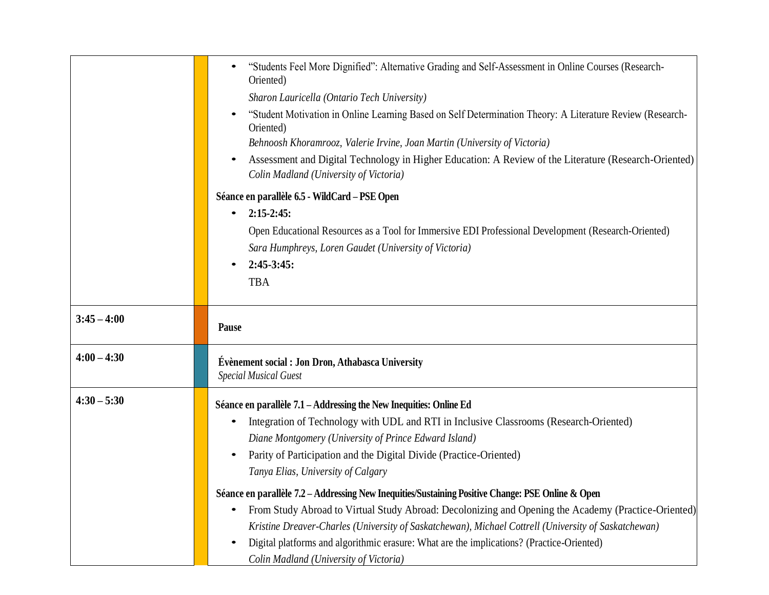|               | "Students Feel More Dignified": Alternative Grading and Self-Assessment in Online Courses (Research-<br>Oriented)                                                                                   |
|---------------|-----------------------------------------------------------------------------------------------------------------------------------------------------------------------------------------------------|
|               | Sharon Lauricella (Ontario Tech University)                                                                                                                                                         |
|               | "Student Motivation in Online Learning Based on Self Determination Theory: A Literature Review (Research-<br>Oriented)<br>Behnoosh Khoramrooz, Valerie Irvine, Joan Martin (University of Victoria) |
|               | Assessment and Digital Technology in Higher Education: A Review of the Literature (Research-Oriented)<br>Colin Madland (University of Victoria)                                                     |
|               | Séance en parallèle 6.5 - WildCard – PSE Open                                                                                                                                                       |
|               | $2:15-2:45$ :<br>$\bullet$                                                                                                                                                                          |
|               | Open Educational Resources as a Tool for Immersive EDI Professional Development (Research-Oriented)                                                                                                 |
|               | Sara Humphreys, Loren Gaudet (University of Victoria)                                                                                                                                               |
|               | $2:45-3:45:$                                                                                                                                                                                        |
|               | <b>TBA</b>                                                                                                                                                                                          |
|               |                                                                                                                                                                                                     |
| $3:45 - 4:00$ | Pause                                                                                                                                                                                               |
| $4:00 - 4:30$ | Évènement social : Jon Dron, Athabasca University<br><b>Special Musical Guest</b>                                                                                                                   |
| $4:30 - 5:30$ | Séance en parallèle 7.1 – Addressing the New Inequities: Online Ed                                                                                                                                  |
|               | Integration of Technology with UDL and RTI in Inclusive Classrooms (Research-Oriented)                                                                                                              |
|               | Diane Montgomery (University of Prince Edward Island)                                                                                                                                               |
|               | Parity of Participation and the Digital Divide (Practice-Oriented)                                                                                                                                  |
|               | Tanya Elias, University of Calgary                                                                                                                                                                  |
|               | Séance en parallèle 7.2 – Addressing New Inequities/Sustaining Positive Change: PSE Online & Open                                                                                                   |
|               | From Study Abroad to Virtual Study Abroad: Decolonizing and Opening the Academy (Practice-Oriented)                                                                                                 |
|               | Kristine Dreaver-Charles (University of Saskatchewan), Michael Cottrell (University of Saskatchewan)                                                                                                |
|               | Digital platforms and algorithmic erasure: What are the implications? (Practice-Oriented)                                                                                                           |
|               | Colin Madland (University of Victoria)                                                                                                                                                              |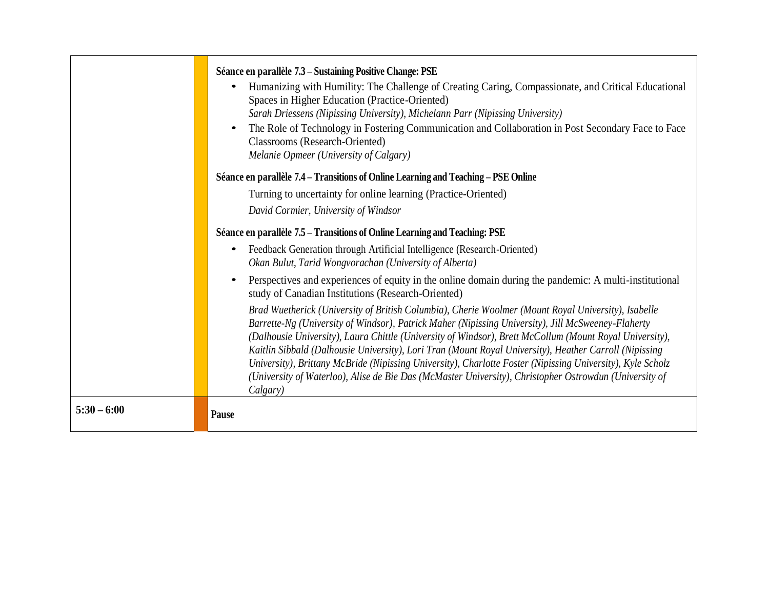|               | Séance en parallèle 7.3 – Sustaining Positive Change: PSE<br>Humanizing with Humility: The Challenge of Creating Caring, Compassionate, and Critical Educational<br>Spaces in Higher Education (Practice-Oriented)<br>Sarah Driessens (Nipissing University), Michelann Parr (Nipissing University)<br>The Role of Technology in Fostering Communication and Collaboration in Post Secondary Face to Face<br><b>Classrooms</b> (Research-Oriented)<br>Melanie Opmeer (University of Calgary)                                                                                                                                                                       |
|---------------|--------------------------------------------------------------------------------------------------------------------------------------------------------------------------------------------------------------------------------------------------------------------------------------------------------------------------------------------------------------------------------------------------------------------------------------------------------------------------------------------------------------------------------------------------------------------------------------------------------------------------------------------------------------------|
|               | Séance en parallèle 7.4 – Transitions of Online Learning and Teaching – PSE Online                                                                                                                                                                                                                                                                                                                                                                                                                                                                                                                                                                                 |
|               | Turning to uncertainty for online learning (Practice-Oriented)                                                                                                                                                                                                                                                                                                                                                                                                                                                                                                                                                                                                     |
|               | David Cormier, University of Windsor                                                                                                                                                                                                                                                                                                                                                                                                                                                                                                                                                                                                                               |
|               | Séance en parallèle 7.5 – Transitions of Online Learning and Teaching: PSE                                                                                                                                                                                                                                                                                                                                                                                                                                                                                                                                                                                         |
|               | Feedback Generation through Artificial Intelligence (Research-Oriented)<br>$\bullet$<br>Okan Bulut, Tarid Wongvorachan (University of Alberta)                                                                                                                                                                                                                                                                                                                                                                                                                                                                                                                     |
|               | Perspectives and experiences of equity in the online domain during the pandemic: A multi-institutional<br>$\bullet$<br>study of Canadian Institutions (Research-Oriented)                                                                                                                                                                                                                                                                                                                                                                                                                                                                                          |
|               | Brad Wuetherick (University of British Columbia), Cherie Woolmer (Mount Royal University), Isabelle<br>Barrette-Ng (University of Windsor), Patrick Maher (Nipissing University), Jill McSweeney-Flaherty<br>(Dalhousie University), Laura Chittle (University of Windsor), Brett McCollum (Mount Royal University),<br>Kaitlin Sibbald (Dalhousie University), Lori Tran (Mount Royal University), Heather Carroll (Nipissing<br>University), Brittany McBride (Nipissing University), Charlotte Foster (Nipissing University), Kyle Scholz<br>(University of Waterloo), Alise de Bie Das (McMaster University), Christopher Ostrowdun (University of<br>Calgary) |
| $5:30 - 6:00$ | Pause                                                                                                                                                                                                                                                                                                                                                                                                                                                                                                                                                                                                                                                              |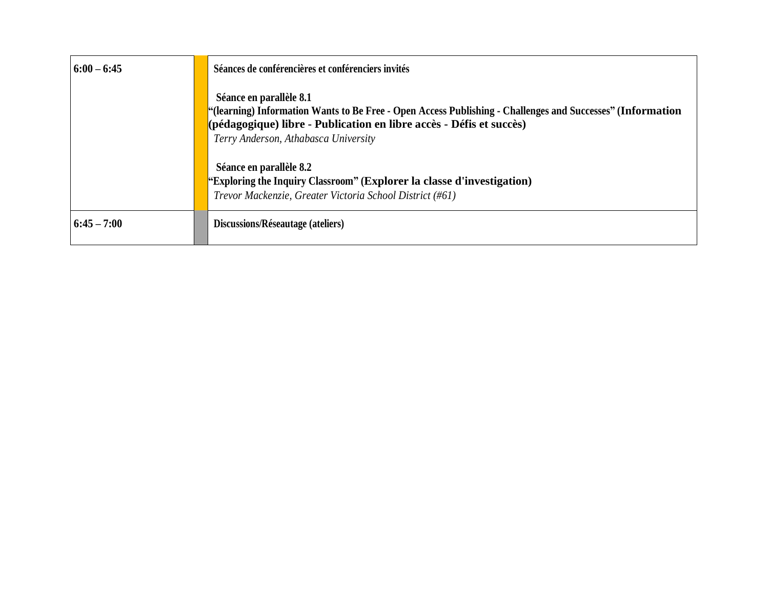| $6:00 - 6:45$ | Séances de conférencières et conférenciers invités                                                                                                                                                                                                   |
|---------------|------------------------------------------------------------------------------------------------------------------------------------------------------------------------------------------------------------------------------------------------------|
|               | Séance en parallèle 8.1<br>"(learning) Information Wants to Be Free - Open Access Publishing - Challenges and Successes" (Information<br>(pédagogique) libre - Publication en libre accès - Défis et succès)<br>Terry Anderson, Athabasca University |
|               | Séance en parallèle 8.2<br>"Exploring the Inquiry Classroom" (Explorer la classe d'investigation)<br>Trevor Mackenzie, Greater Victoria School District (#61)                                                                                        |
| $6:45 - 7:00$ | Discussions/Réseautage (ateliers)                                                                                                                                                                                                                    |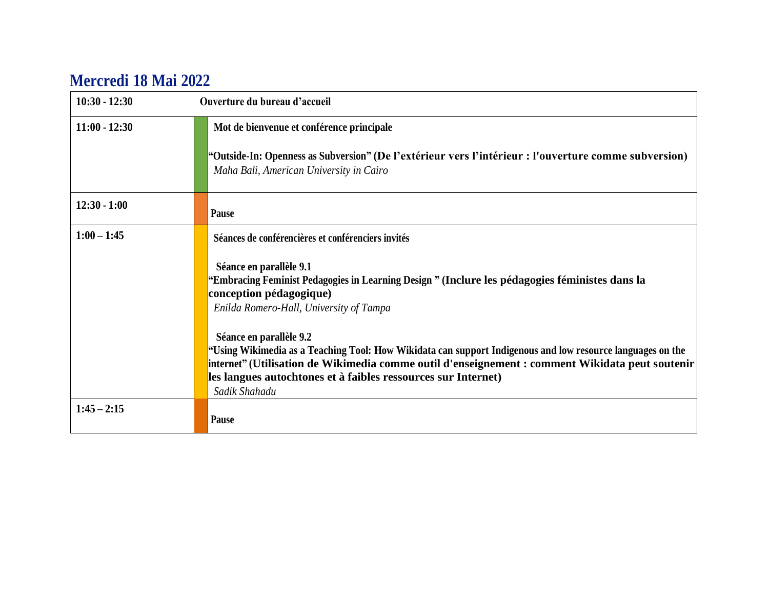## **Mercredi 18 Mai 2022**

| $10:30 - 12:30$ | Ouverture du bureau d'accueil                                                                                                                                                                                                                                                                                               |
|-----------------|-----------------------------------------------------------------------------------------------------------------------------------------------------------------------------------------------------------------------------------------------------------------------------------------------------------------------------|
| $11:00 - 12:30$ | Mot de bienvenue et conférence principale                                                                                                                                                                                                                                                                                   |
|                 | "Outside-In: Openness as Subversion" (De l'extérieur vers l'intérieur : l'ouverture comme subversion)<br>Maha Bali, American University in Cairo                                                                                                                                                                            |
| $12:30 - 1:00$  | Pause                                                                                                                                                                                                                                                                                                                       |
| $1:00 - 1:45$   | Séances de conférencières et conférenciers invités                                                                                                                                                                                                                                                                          |
|                 | Séance en parallèle 9.1<br>"Embracing Feminist Pedagogies in Learning Design " (Inclure les pédagogies féministes dans la<br>conception pédagogique)<br>Enilda Romero-Hall, University of Tampa                                                                                                                             |
|                 | Séance en parallèle 9.2<br>Using Wikimedia as a Teaching Tool: How Wikidata can support Indigenous and low resource languages on the "<br>internet" (Utilisation de Wikimedia comme outil d'enseignement : comment Wikidata peut soutenir<br>les langues autochtones et à faibles ressources sur Internet)<br>Sadik Shahadu |
| $1:45 - 2:15$   | <b>Pause</b>                                                                                                                                                                                                                                                                                                                |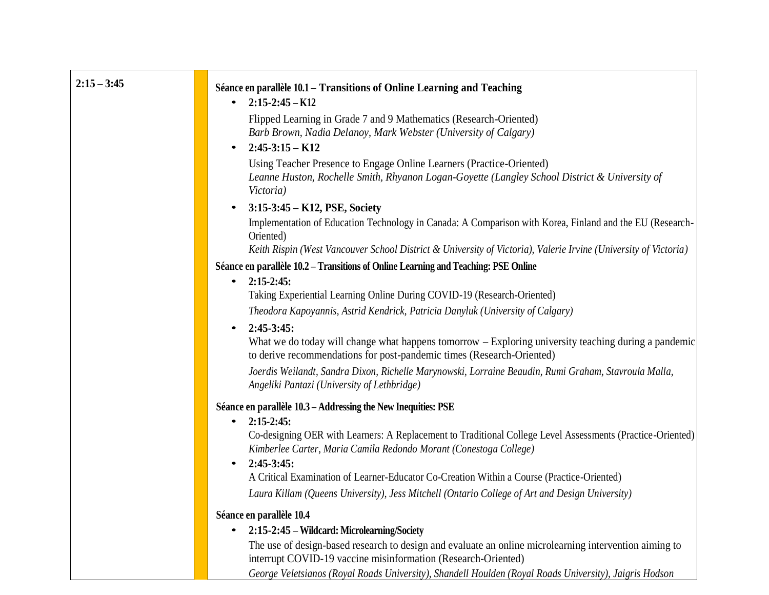| $2:15 - 3:45$ | Séance en parallèle 10.1 – Transitions of Online Learning and Teaching                                                                                                        |
|---------------|-------------------------------------------------------------------------------------------------------------------------------------------------------------------------------|
|               | $2:15-2:45-K12$<br>$\bullet$                                                                                                                                                  |
|               | Flipped Learning in Grade 7 and 9 Mathematics (Research-Oriented)                                                                                                             |
|               | Barb Brown, Nadia Delanoy, Mark Webster (University of Calgary)                                                                                                               |
|               | $2:45-3:15-K12$<br>$\bullet$                                                                                                                                                  |
|               | Using Teacher Presence to Engage Online Learners (Practice-Oriented)                                                                                                          |
|               | Leanne Huston, Rochelle Smith, Rhyanon Logan-Goyette (Langley School District & University of<br>Victoria)                                                                    |
|               | $3:15-3:45-K12, PSE, Society$<br>$\bullet$                                                                                                                                    |
|               | Implementation of Education Technology in Canada: A Comparison with Korea, Finland and the EU (Research-<br>Oriented)                                                         |
|               | Keith Rispin (West Vancouver School District & University of Victoria), Valerie Irvine (University of Victoria)                                                               |
|               | Séance en parallèle 10.2 – Transitions of Online Learning and Teaching: PSE Online                                                                                            |
|               | • $2:15-2:45:$                                                                                                                                                                |
|               | Taking Experiential Learning Online During COVID-19 (Research-Oriented)                                                                                                       |
|               | Theodora Kapoyannis, Astrid Kendrick, Patricia Danyluk (University of Calgary)                                                                                                |
|               | $2:45-3:45:$<br>$\bullet$                                                                                                                                                     |
|               | What we do today will change what happens tomorrow – Exploring university teaching during a pandemic<br>to derive recommendations for post-pandemic times (Research-Oriented) |
|               | Joerdis Weilandt, Sandra Dixon, Richelle Marynowski, Lorraine Beaudin, Rumi Graham, Stavroula Malla,<br>Angeliki Pantazi (University of Lethbridge)                           |
|               | Séance en parallèle 10.3 – Addressing the New Inequities: PSE                                                                                                                 |
|               | $2:15-2:45:$<br>$\bullet$                                                                                                                                                     |
|               | Co-designing OER with Learners: A Replacement to Traditional College Level Assessments (Practice-Oriented)                                                                    |
|               | Kimberlee Carter, Maria Camila Redondo Morant (Conestoga College)                                                                                                             |
|               | $2:45-3:45:$<br>$\bullet$                                                                                                                                                     |
|               | A Critical Examination of Learner-Educator Co-Creation Within a Course (Practice-Oriented)                                                                                    |
|               | Laura Killam (Queens University), Jess Mitchell (Ontario College of Art and Design University)                                                                                |
|               | Séance en parallèle 10.4                                                                                                                                                      |
|               | 2:15-2:45 – Wildcard: Microlearning/Society                                                                                                                                   |
|               | The use of design-based research to design and evaluate an online microlearning intervention aiming to                                                                        |
|               | interrupt COVID-19 vaccine misinformation (Research-Oriented)                                                                                                                 |
|               | George Veletsianos (Royal Roads University), Shandell Houlden (Royal Roads University), Jaioris Hodson                                                                        |

*George Veletsianos (Royal Roads University), Shandell Houlden (Royal Roads University), Jaigris Hodson*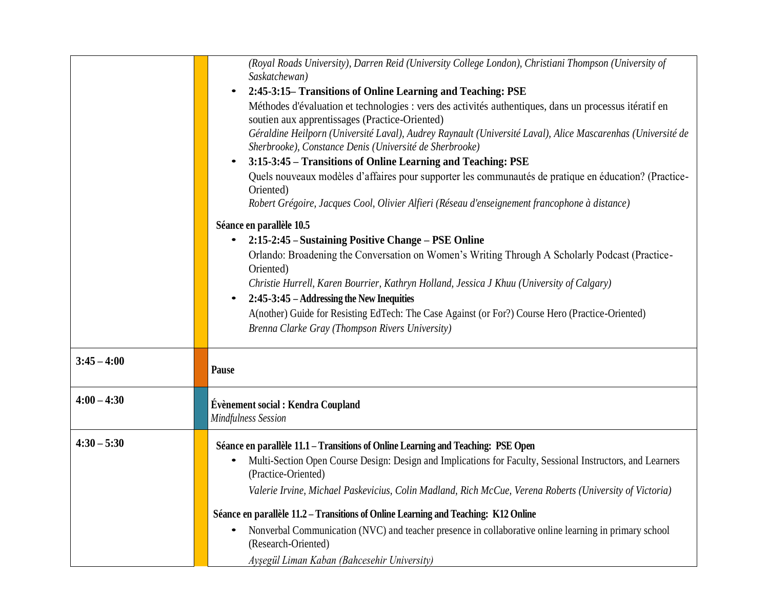|               | (Royal Roads University), Darren Reid (University College London), Christiani Thompson (University of<br>Saskatchewan)                                                 |
|---------------|------------------------------------------------------------------------------------------------------------------------------------------------------------------------|
|               | 2:45-3:15– Transitions of Online Learning and Teaching: PSE                                                                                                            |
|               | Méthodes d'évaluation et technologies : vers des activités authentiques, dans un processus itératif en<br>soutien aux apprentissages (Practice-Oriented)               |
|               | Géraldine Heilporn (Université Laval), Audrey Raynault (Université Laval), Alice Mascarenhas (Université de<br>Sherbrooke), Constance Denis (Université de Sherbrooke) |
|               | 3:15-3:45 – Transitions of Online Learning and Teaching: PSE                                                                                                           |
|               | Quels nouveaux modèles d'affaires pour supporter les communautés de pratique en éducation? (Practice-<br>Oriented)                                                     |
|               | Robert Grégoire, Jacques Cool, Olivier Alfieri (Réseau d'enseignement francophone à distance)                                                                          |
|               | Séance en parallèle 10.5                                                                                                                                               |
|               | 2:15-2:45 – Sustaining Positive Change – PSE Online<br>$\bullet$                                                                                                       |
|               | Orlando: Broadening the Conversation on Women's Writing Through A Scholarly Podcast (Practice-                                                                         |
|               | Oriented)                                                                                                                                                              |
|               | Christie Hurrell, Karen Bourrier, Kathryn Holland, Jessica J Khuu (University of Calgary)                                                                              |
|               | 2:45-3:45 – Addressing the New Inequities<br>$\bullet$                                                                                                                 |
|               | A(nother) Guide for Resisting EdTech: The Case Against (or For?) Course Hero (Practice-Oriented)                                                                       |
|               | Brenna Clarke Gray (Thompson Rivers University)                                                                                                                        |
|               |                                                                                                                                                                        |
| $3:45 - 4:00$ | Pause                                                                                                                                                                  |
|               |                                                                                                                                                                        |
| $4:00 - 4:30$ | Évènement social : Kendra Coupland                                                                                                                                     |
|               | <b>Mindfulness Session</b>                                                                                                                                             |
| $4:30 - 5:30$ | Séance en parallèle 11.1 – Transitions of Online Learning and Teaching: PSE Open                                                                                       |
|               | Multi-Section Open Course Design: Design and Implications for Faculty, Sessional Instructors, and Learners<br>$\bullet$                                                |
|               | (Practice-Oriented)                                                                                                                                                    |
|               | Valerie Irvine, Michael Paskevicius, Colin Madland, Rich McCue, Verena Roberts (University of Victoria)                                                                |
|               |                                                                                                                                                                        |
|               | Séance en parallèle 11.2 – Transitions of Online Learning and Teaching: K12 Online                                                                                     |
|               | Nonverbal Communication (NVC) and teacher presence in collaborative online learning in primary school<br>(Research-Oriented)                                           |
|               | Ayşegül Liman Kaban (Bahcesehir University)                                                                                                                            |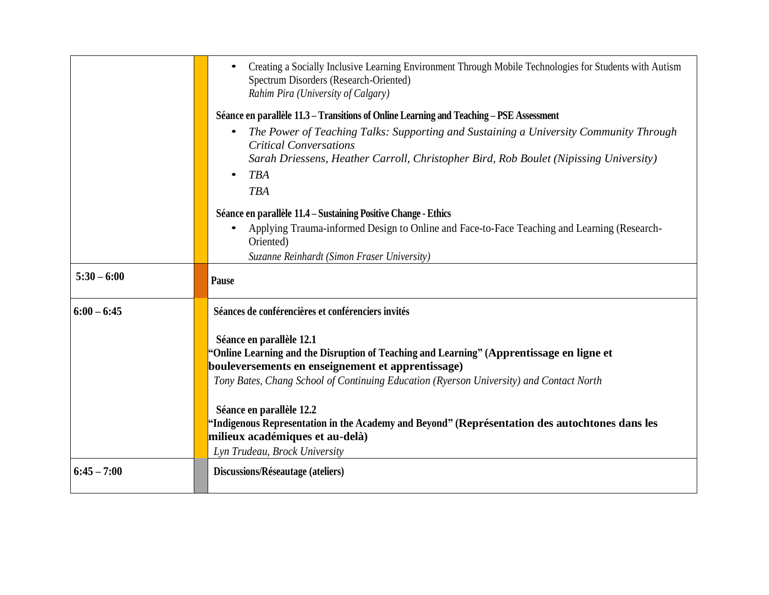|               | Creating a Socially Inclusive Learning Environment Through Mobile Technologies for Students with Autism<br>Spectrum Disorders (Research-Oriented)<br>Rahim Pira (University of Calgary)                                                                                                                                                                                                                                               |
|---------------|---------------------------------------------------------------------------------------------------------------------------------------------------------------------------------------------------------------------------------------------------------------------------------------------------------------------------------------------------------------------------------------------------------------------------------------|
|               | Séance en parallèle 11.3 – Transitions of Online Learning and Teaching – PSE Assessment                                                                                                                                                                                                                                                                                                                                               |
|               | The Power of Teaching Talks: Supporting and Sustaining a University Community Through<br>$\bullet$<br><b>Critical Conversations</b><br>Sarah Driessens, Heather Carroll, Christopher Bird, Rob Boulet (Nipissing University)<br><b>TBA</b><br>$\bullet$<br><b>TBA</b>                                                                                                                                                                 |
|               | Séance en parallèle 11.4 – Sustaining Positive Change - Ethics                                                                                                                                                                                                                                                                                                                                                                        |
|               | Applying Trauma-informed Design to Online and Face-to-Face Teaching and Learning (Research-<br>$\bullet$<br>Oriented)                                                                                                                                                                                                                                                                                                                 |
|               | Suzanne Reinhardt (Simon Fraser University)                                                                                                                                                                                                                                                                                                                                                                                           |
| $5:30 - 6:00$ | Pause                                                                                                                                                                                                                                                                                                                                                                                                                                 |
| $6:00 - 6:45$ | Séances de conférencières et conférenciers invités                                                                                                                                                                                                                                                                                                                                                                                    |
|               | Séance en parallèle 12.1<br>"Online Learning and the Disruption of Teaching and Learning" (Apprentissage en ligne et<br>bouleversements en enseignement et apprentissage)<br>Tony Bates, Chang School of Continuing Education (Ryerson University) and Contact North<br>Séance en parallèle 12.2<br>"Indigenous Representation in the Academy and Beyond" (Représentation des autochtones dans les<br>milieux académiques et au-delà) |
|               | Lyn Trudeau, Brock University                                                                                                                                                                                                                                                                                                                                                                                                         |
| $6:45 - 7:00$ | Discussions/Réseautage (ateliers)                                                                                                                                                                                                                                                                                                                                                                                                     |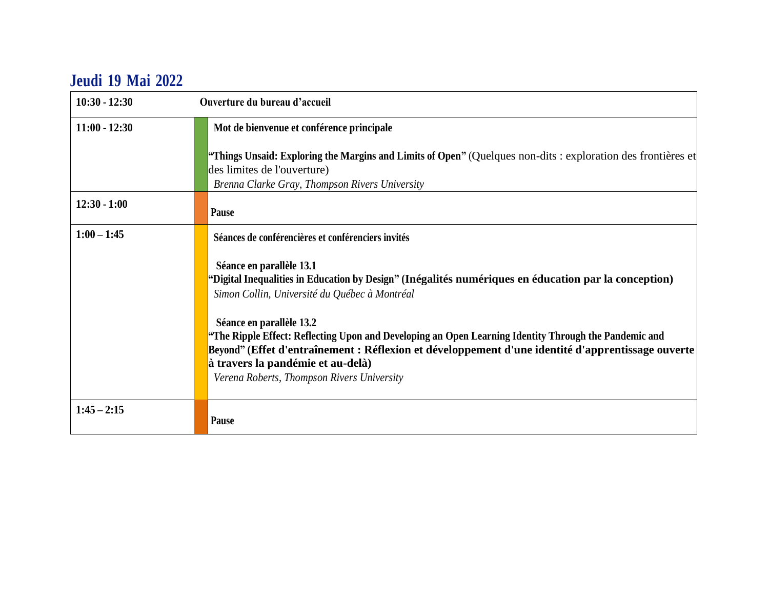## **Jeudi 19 Mai 2022**

| $10:30 - 12:30$ | Ouverture du bureau d'accueil                                                                                                                                                                                                                                                                                             |
|-----------------|---------------------------------------------------------------------------------------------------------------------------------------------------------------------------------------------------------------------------------------------------------------------------------------------------------------------------|
| $11:00 - 12:30$ | Mot de bienvenue et conférence principale<br><b>"Things Unsaid: Exploring the Margins and Limits of Open"</b> (Quelques non-dits : exploration des frontières et                                                                                                                                                          |
|                 | des limites de l'ouverture)                                                                                                                                                                                                                                                                                               |
|                 | Brenna Clarke Gray, Thompson Rivers University                                                                                                                                                                                                                                                                            |
| $12:30 - 1:00$  | Pause                                                                                                                                                                                                                                                                                                                     |
| $1:00 - 1:45$   | Séances de conférencières et conférenciers invités                                                                                                                                                                                                                                                                        |
|                 | Séance en parallèle 13.1<br>"Digital Inequalities in Education by Design" (Inégalités numériques en éducation par la conception)<br>Simon Collin, Université du Québec à Montréal                                                                                                                                         |
|                 | Séance en parallèle 13.2<br>"The Ripple Effect: Reflecting Upon and Developing an Open Learning Identity Through the Pandemic and<br>Beyond" (Effet d'entraînement : Réflexion et développement d'une identité d'apprentissage ouverte<br>à travers la pandémie et au-delà)<br>Verena Roberts, Thompson Rivers University |
| $1:45 - 2:15$   | Pause                                                                                                                                                                                                                                                                                                                     |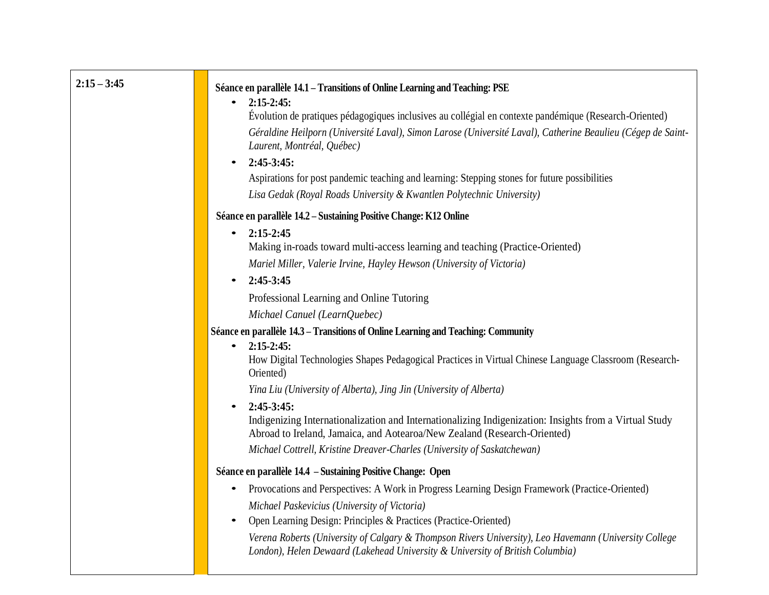| $2:15 - 3:45$ | Séance en parallèle 14.1 – Transitions of Online Learning and Teaching: PSE<br>$2:15 - 2:45$ :<br>$\bullet$<br>Évolution de pratiques pédagogiques inclusives au collégial en contexte pandémique (Research-Oriented)<br>Géraldine Heilporn (Université Laval), Simon Larose (Université Laval), Catherine Beaulieu (Cégep de Saint-<br>Laurent, Montréal, Québec)<br>$2:45-3:45:$<br>$\bullet$<br>Aspirations for post pandemic teaching and learning: Stepping stones for future possibilities<br>Lisa Gedak (Royal Roads University & Kwantlen Polytechnic University)                                                                 |
|---------------|-------------------------------------------------------------------------------------------------------------------------------------------------------------------------------------------------------------------------------------------------------------------------------------------------------------------------------------------------------------------------------------------------------------------------------------------------------------------------------------------------------------------------------------------------------------------------------------------------------------------------------------------|
|               | Séance en parallèle 14.2 – Sustaining Positive Change: K12 Online<br>$2:15 - 2:45$<br>$\bullet$<br>Making in-roads toward multi-access learning and teaching (Practice-Oriented)<br>Mariel Miller, Valerie Irvine, Hayley Hewson (University of Victoria)<br>2:45-3:45<br>$\bullet$<br>Professional Learning and Online Tutoring                                                                                                                                                                                                                                                                                                          |
|               | Michael Canuel (LearnQuebec)<br>Séance en parallèle 14.3 – Transitions of Online Learning and Teaching: Community<br>$2:15-2:45:$<br>$\bullet$<br>How Digital Technologies Shapes Pedagogical Practices in Virtual Chinese Language Classroom (Research-<br>Oriented)<br>Yina Liu (University of Alberta), Jing Jin (University of Alberta)<br>$2:45-3:45:$<br>$\bullet$<br>Indigenizing Internationalization and Internationalizing Indigenization: Insights from a Virtual Study<br>Abroad to Ireland, Jamaica, and Aotearoa/New Zealand (Research-Oriented)<br>Michael Cottrell, Kristine Dreaver-Charles (University of Saskatchewan) |
|               | Séance en parallèle 14.4 – Sustaining Positive Change: Open<br>Provocations and Perspectives: A Work in Progress Learning Design Framework (Practice-Oriented)<br>Michael Paskevicius (University of Victoria)<br>Open Learning Design: Principles & Practices (Practice-Oriented)<br>Verena Roberts (University of Calgary & Thompson Rivers University), Leo Havemann (University College<br>London), Helen Dewaard (Lakehead University & University of British Columbia)                                                                                                                                                              |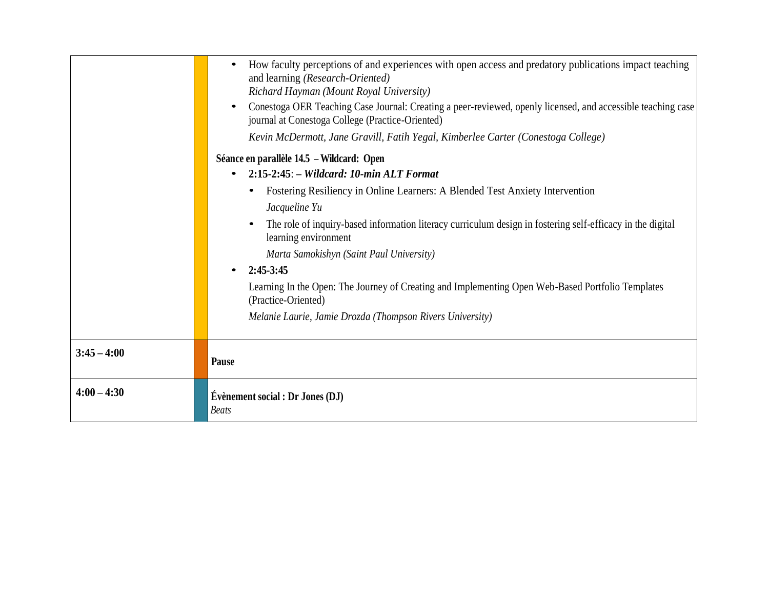|               | How faculty perceptions of and experiences with open access and predatory publications impact teaching<br>$\bullet$<br>and learning (Research-Oriented)<br>Richard Hayman (Mount Royal University)<br>Conestoga OER Teaching Case Journal: Creating a peer-reviewed, openly licensed, and accessible teaching case<br>$\bullet$<br>journal at Conestoga College (Practice-Oriented)<br>Kevin McDermott, Jane Gravill, Fatih Yegal, Kimberlee Carter (Conestoga College)<br>Séance en parallèle 14.5 – Wildcard: Open<br>$2:15-2:45:$ - Wildcard: 10-min ALT Format<br>$\bullet$<br>Fostering Resiliency in Online Learners: A Blended Test Anxiety Intervention<br>Jacqueline Yu<br>The role of inquiry-based information literacy curriculum design in fostering self-efficacy in the digital<br>$\bullet$<br>learning environment<br>Marta Samokishyn (Saint Paul University)<br>$2:45-3:45$<br>Learning In the Open: The Journey of Creating and Implementing Open Web-Based Portfolio Templates<br>(Practice-Oriented)<br>Melanie Laurie, Jamie Drozda (Thompson Rivers University) |
|---------------|-----------------------------------------------------------------------------------------------------------------------------------------------------------------------------------------------------------------------------------------------------------------------------------------------------------------------------------------------------------------------------------------------------------------------------------------------------------------------------------------------------------------------------------------------------------------------------------------------------------------------------------------------------------------------------------------------------------------------------------------------------------------------------------------------------------------------------------------------------------------------------------------------------------------------------------------------------------------------------------------------------------------------------------------------------------------------------------------|
| $3:45 - 4:00$ | Pause                                                                                                                                                                                                                                                                                                                                                                                                                                                                                                                                                                                                                                                                                                                                                                                                                                                                                                                                                                                                                                                                                   |
| $4:00 - 4:30$ | Évènement social : Dr Jones (DJ)<br><b>Beats</b>                                                                                                                                                                                                                                                                                                                                                                                                                                                                                                                                                                                                                                                                                                                                                                                                                                                                                                                                                                                                                                        |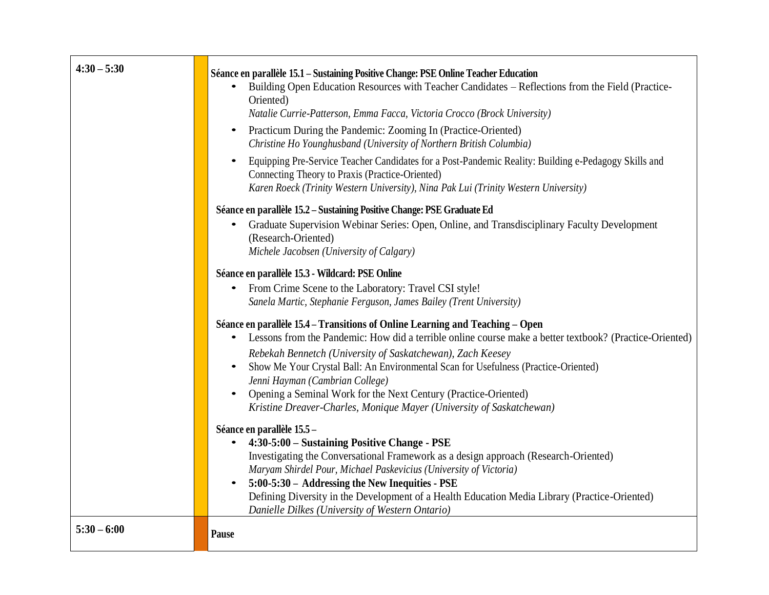| $4:30 - 5:30$ | Séance en parallèle 15.1 - Sustaining Positive Change: PSE Online Teacher Education<br>Building Open Education Resources with Teacher Candidates - Reflections from the Field (Practice-<br>Oriented)<br>Natalie Currie-Patterson, Emma Facca, Victoria Crocco (Brock University)<br>Practicum During the Pandemic: Zooming In (Practice-Oriented)<br>$\bullet$<br>Christine Ho Younghusband (University of Northern British Columbia)<br>Equipping Pre-Service Teacher Candidates for a Post-Pandemic Reality: Building e-Pedagogy Skills and<br>$\bullet$<br>Connecting Theory to Praxis (Practice-Oriented)<br>Karen Roeck (Trinity Western University), Nina Pak Lui (Trinity Western University) |
|---------------|-------------------------------------------------------------------------------------------------------------------------------------------------------------------------------------------------------------------------------------------------------------------------------------------------------------------------------------------------------------------------------------------------------------------------------------------------------------------------------------------------------------------------------------------------------------------------------------------------------------------------------------------------------------------------------------------------------|
|               | Séance en parallèle 15.2 – Sustaining Positive Change: PSE Graduate Ed<br>Graduate Supervision Webinar Series: Open, Online, and Transdisciplinary Faculty Development<br>(Research-Oriented)<br>Michele Jacobsen (University of Calgary)                                                                                                                                                                                                                                                                                                                                                                                                                                                             |
|               | Séance en parallèle 15.3 - Wildcard: PSE Online<br>From Crime Scene to the Laboratory: Travel CSI style!<br>$\bullet$<br>Sanela Martic, Stephanie Ferguson, James Bailey (Trent University)                                                                                                                                                                                                                                                                                                                                                                                                                                                                                                           |
|               | Séance en parallèle 15.4 – Transitions of Online Learning and Teaching – Open<br>Lessons from the Pandemic: How did a terrible online course make a better textbook? (Practice-Oriented)<br>$\bullet$<br>Rebekah Bennetch (University of Saskatchewan), Zach Keesey<br>Show Me Your Crystal Ball: An Environmental Scan for Usefulness (Practice-Oriented)<br>Jenni Hayman (Cambrian College)<br>Opening a Seminal Work for the Next Century (Practice-Oriented)<br>Kristine Dreaver-Charles, Monique Mayer (University of Saskatchewan)                                                                                                                                                              |
|               | Séance en parallèle 15.5 -<br>4:30-5:00 - Sustaining Positive Change - PSE<br>$\bullet$<br>Investigating the Conversational Framework as a design approach (Research-Oriented)<br>Maryam Shirdel Pour, Michael Paskevicius (University of Victoria)<br>5:00-5:30 - Addressing the New Inequities - PSE<br>$\bullet$<br>Defining Diversity in the Development of a Health Education Media Library (Practice-Oriented)<br>Danielle Dilkes (University of Western Ontario)                                                                                                                                                                                                                               |
| $5:30 - 6:00$ | Pause                                                                                                                                                                                                                                                                                                                                                                                                                                                                                                                                                                                                                                                                                                 |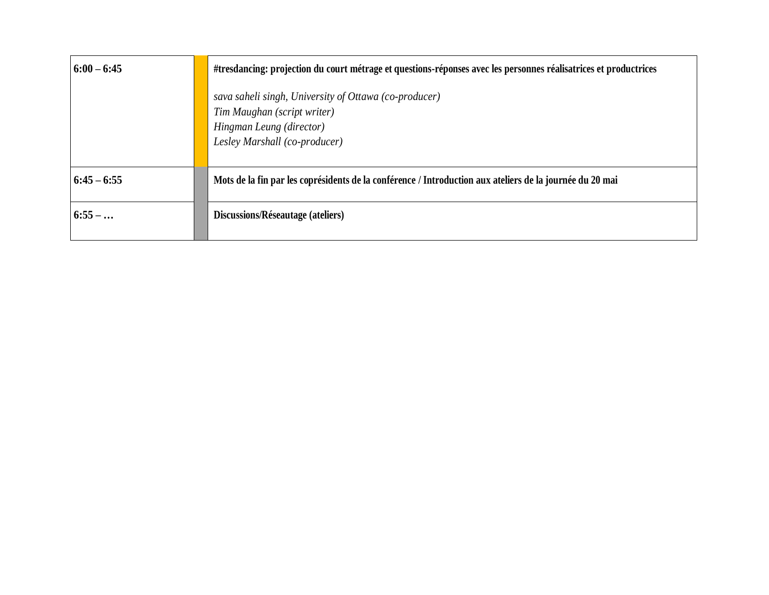| $6:00 - 6:45$   | #tresdancing: projection du court métrage et questions-réponses avec les personnes réalisatrices et productrices                                  |
|-----------------|---------------------------------------------------------------------------------------------------------------------------------------------------|
|                 | sava saheli singh, University of Ottawa (co-producer)<br>Tim Maughan (script writer)<br>Hingman Leung (director)<br>Lesley Marshall (co-producer) |
| $ 6:45 - 6:55 $ | Mots de la fin par les coprésidents de la conférence / Introduction aux ateliers de la journée du 20 mai                                          |
| $6:55-$         | Discussions/Réseautage (ateliers)                                                                                                                 |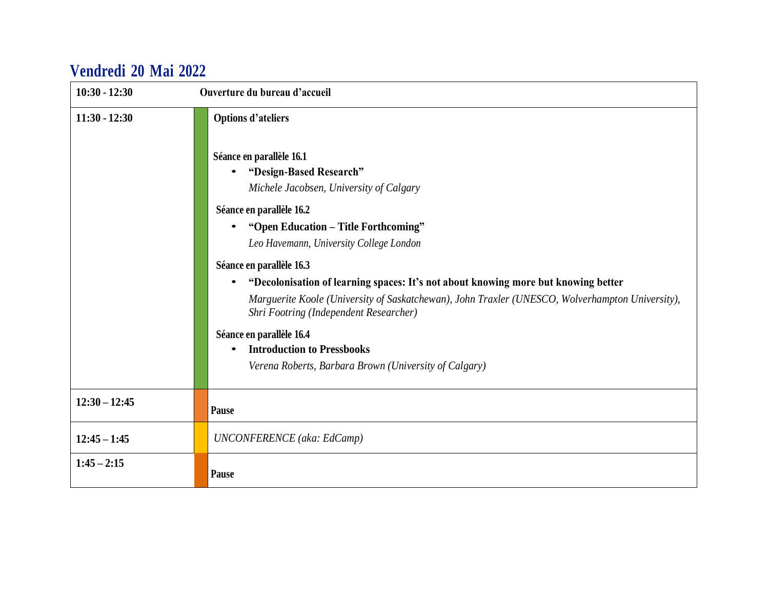## **Vendredi 20 Mai 2022**

| $10:30 - 12:30$ | Ouverture du bureau d'accueil                                                                                                                                                                                                                                                                                                                                                                                                                                                                                                                                                                                                                    |
|-----------------|--------------------------------------------------------------------------------------------------------------------------------------------------------------------------------------------------------------------------------------------------------------------------------------------------------------------------------------------------------------------------------------------------------------------------------------------------------------------------------------------------------------------------------------------------------------------------------------------------------------------------------------------------|
| $11:30 - 12:30$ | <b>Options d'ateliers</b><br>Séance en parallèle 16.1<br>"Design-Based Research"<br>$\bullet$<br>Michele Jacobsen, University of Calgary<br>Séance en parallèle 16.2<br>"Open Education - Title Forthcoming"<br>Leo Havemann, University College London<br>Séance en parallèle 16.3<br>"Decolonisation of learning spaces: It's not about knowing more but knowing better<br>Marguerite Koole (University of Saskatchewan), John Traxler (UNESCO, Wolverhampton University),<br>Shri Footring (Independent Researcher)<br>Séance en parallèle 16.4<br><b>Introduction to Pressbooks</b><br>Verena Roberts, Barbara Brown (University of Calgary) |
| $12:30 - 12:45$ | Pause                                                                                                                                                                                                                                                                                                                                                                                                                                                                                                                                                                                                                                            |
| $12:45 - 1:45$  | <b>UNCONFERENCE</b> (aka: EdCamp)                                                                                                                                                                                                                                                                                                                                                                                                                                                                                                                                                                                                                |
| $1:45 - 2:15$   | Pause                                                                                                                                                                                                                                                                                                                                                                                                                                                                                                                                                                                                                                            |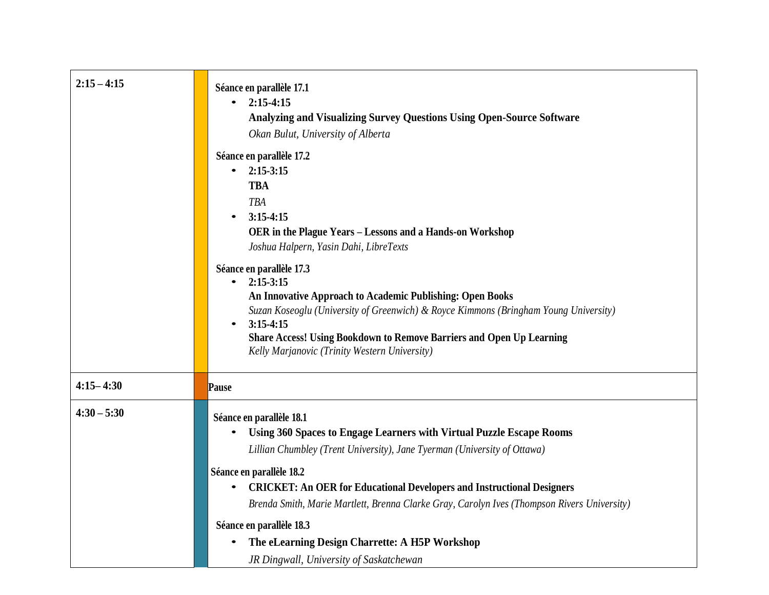| $2:15 - 4:15$ | Séance en parallèle 17.1<br>$2:15-4:15$<br><b>Analyzing and Visualizing Survey Questions Using Open-Source Software</b><br>Okan Bulut, University of Alberta<br>Séance en parallèle 17.2<br>$2:15-3:15$<br>$\bullet$<br><b>TBA</b><br><b>TBA</b><br>$3:15-4:15$<br>OER in the Plague Years - Lessons and a Hands-on Workshop<br>Joshua Halpern, Yasin Dahi, LibreTexts<br>Séance en parallèle 17.3<br>$2:15-3:15$<br>An Innovative Approach to Academic Publishing: Open Books<br>Suzan Koseoglu (University of Greenwich) & Royce Kimmons (Bringham Young University)<br>$3:15-4:15$<br>$\bullet$<br><b>Share Access! Using Bookdown to Remove Barriers and Open Up Learning</b> |
|---------------|-----------------------------------------------------------------------------------------------------------------------------------------------------------------------------------------------------------------------------------------------------------------------------------------------------------------------------------------------------------------------------------------------------------------------------------------------------------------------------------------------------------------------------------------------------------------------------------------------------------------------------------------------------------------------------------|
| $4:15 - 4:30$ | Kelly Marjanovic (Trinity Western University)<br>Pause                                                                                                                                                                                                                                                                                                                                                                                                                                                                                                                                                                                                                            |
| $4:30 - 5:30$ | Séance en parallèle 18.1<br>Using 360 Spaces to Engage Learners with Virtual Puzzle Escape Rooms<br>Lillian Chumbley (Trent University), Jane Tyerman (University of Ottawa)<br>Séance en parallèle 18.2<br><b>CRICKET: An OER for Educational Developers and Instructional Designers</b><br>Brenda Smith, Marie Martlett, Brenna Clarke Gray, Carolyn Ives (Thompson Rivers University)<br>Séance en parallèle 18.3<br>The eLearning Design Charrette: A H5P Workshop<br>JR Dingwall, University of Saskatchewan                                                                                                                                                                 |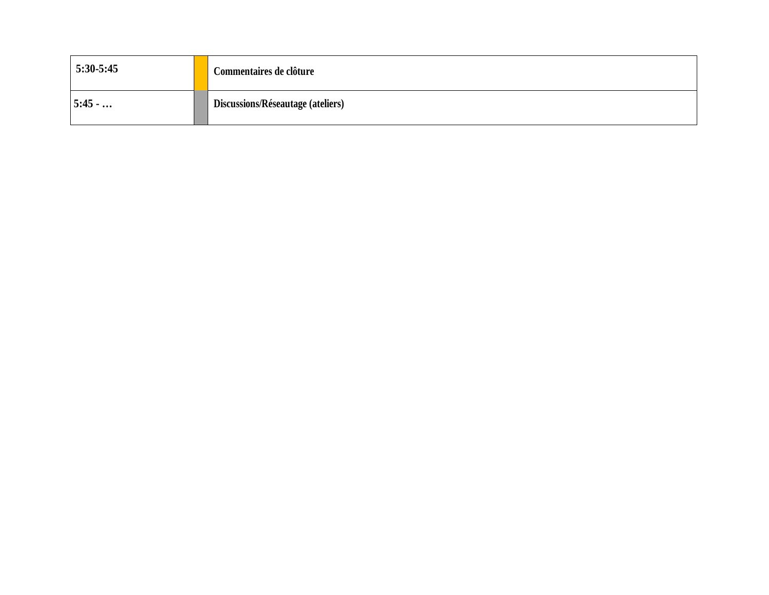| $5:30-5:45$ | Commentaires de clôture           |
|-------------|-----------------------------------|
| 15:45       | Discussions/Réseautage (ateliers) |